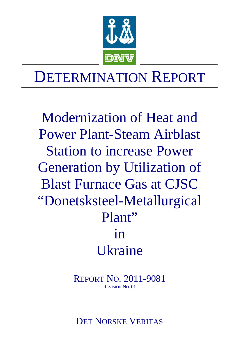

# DETERMINATION REPORT

Modernization of Heat and Power Plant-Steam Airblast Station to increase Power Generation by Utilization of Blast Furnace Gas at CJSC "Donetsksteel-Metallurgical Plant" in Ukraine

> REPORT NO. 2011-9081 REVISION NO. 01

DET NORSKE VERITAS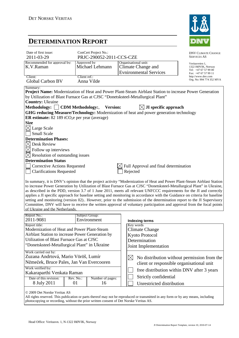

# **DETERMINATION REPORT**

| Date of first issue:<br>2011-03-29                                                                                                                                                                                                                                                                                                                                                                                                                                                                                                                                                                                                                                                                                                                                                                | ConCert Project No.:<br>PRJC-290052-2011-CCS-CZE |                  |                                                                                        | <b>DNV CLIMATE CHANGE</b><br><b>SERVICES AS</b>                                       |  |  |  |  |
|---------------------------------------------------------------------------------------------------------------------------------------------------------------------------------------------------------------------------------------------------------------------------------------------------------------------------------------------------------------------------------------------------------------------------------------------------------------------------------------------------------------------------------------------------------------------------------------------------------------------------------------------------------------------------------------------------------------------------------------------------------------------------------------------------|--------------------------------------------------|------------------|----------------------------------------------------------------------------------------|---------------------------------------------------------------------------------------|--|--|--|--|
| Recommended for approval by:<br>K.V.Raman                                                                                                                                                                                                                                                                                                                                                                                                                                                                                                                                                                                                                                                                                                                                                         | Approved by<br>Michael Lehmann                   |                  | Organisational unit:<br>Climate Change and<br><b>Evnironmental Services</b>            | Veritasveien 1,<br>1322 HØVIK, Norway<br>Tel: +47 67 57 99 00<br>Fax: +47 67 57 99 11 |  |  |  |  |
| Client:                                                                                                                                                                                                                                                                                                                                                                                                                                                                                                                                                                                                                                                                                                                                                                                           | Client ref.:                                     |                  |                                                                                        | http://www.dnv.com                                                                    |  |  |  |  |
| Global Carbon BV                                                                                                                                                                                                                                                                                                                                                                                                                                                                                                                                                                                                                                                                                                                                                                                  | Anna Vilde                                       |                  |                                                                                        | Org. No: 994 774 352 MVA                                                              |  |  |  |  |
| Summary:<br>Project Name: Modernization of Heat and Power Plant-Steam Airblast Station to increase Power Generation<br>by Utilization of Blast Furnace Gas at CJSC "Donetsksteel-Metallurgical Plant"<br><b>Country: Ukraine</b>                                                                                                                                                                                                                                                                                                                                                                                                                                                                                                                                                                  |                                                  |                  |                                                                                        |                                                                                       |  |  |  |  |
| Methodology:                                                                                                                                                                                                                                                                                                                                                                                                                                                                                                                                                                                                                                                                                                                                                                                      | <b>CDM</b> Methodology:,                         | <b>Version:</b>  | $\boxtimes$ JI specific approach                                                       |                                                                                       |  |  |  |  |
|                                                                                                                                                                                                                                                                                                                                                                                                                                                                                                                                                                                                                                                                                                                                                                                                   |                                                  |                  | GHG reducing Measure/Technology: Modernization of heat and power generation technology |                                                                                       |  |  |  |  |
| ER estimate: $82$ 189 tCO <sub>2</sub> e per year (average)                                                                                                                                                                                                                                                                                                                                                                                                                                                                                                                                                                                                                                                                                                                                       |                                                  |                  |                                                                                        |                                                                                       |  |  |  |  |
| <b>Size</b>                                                                                                                                                                                                                                                                                                                                                                                                                                                                                                                                                                                                                                                                                                                                                                                       |                                                  |                  |                                                                                        |                                                                                       |  |  |  |  |
| $\boxtimes$ Large Scale                                                                                                                                                                                                                                                                                                                                                                                                                                                                                                                                                                                                                                                                                                                                                                           |                                                  |                  |                                                                                        |                                                                                       |  |  |  |  |
| Small Scale<br><b>Determination Phases:</b>                                                                                                                                                                                                                                                                                                                                                                                                                                                                                                                                                                                                                                                                                                                                                       |                                                  |                  |                                                                                        |                                                                                       |  |  |  |  |
| Desk Review<br>$\bowtie$                                                                                                                                                                                                                                                                                                                                                                                                                                                                                                                                                                                                                                                                                                                                                                          |                                                  |                  |                                                                                        |                                                                                       |  |  |  |  |
|                                                                                                                                                                                                                                                                                                                                                                                                                                                                                                                                                                                                                                                                                                                                                                                                   |                                                  |                  |                                                                                        |                                                                                       |  |  |  |  |
| $\boxtimes$ Follow up interviews                                                                                                                                                                                                                                                                                                                                                                                                                                                                                                                                                                                                                                                                                                                                                                  |                                                  |                  |                                                                                        |                                                                                       |  |  |  |  |
| Resolution of outstanding issues<br><b>Determination Status</b>                                                                                                                                                                                                                                                                                                                                                                                                                                                                                                                                                                                                                                                                                                                                   |                                                  |                  |                                                                                        |                                                                                       |  |  |  |  |
|                                                                                                                                                                                                                                                                                                                                                                                                                                                                                                                                                                                                                                                                                                                                                                                                   |                                                  |                  |                                                                                        |                                                                                       |  |  |  |  |
| <b>Corrective Actions Requested</b>                                                                                                                                                                                                                                                                                                                                                                                                                                                                                                                                                                                                                                                                                                                                                               |                                                  |                  | Full Approval and final determination                                                  |                                                                                       |  |  |  |  |
| <b>Clarifications Requested</b>                                                                                                                                                                                                                                                                                                                                                                                                                                                                                                                                                                                                                                                                                                                                                                   |                                                  |                  | Rejected                                                                               |                                                                                       |  |  |  |  |
| In summary, it is DNV's opinion that the project activity "Modernization of Heat and Power Plant-Steam Airblast Station<br>to increase Power Generation by Utilization of Blast Furnace Gas at CJSC "Donetsksteel-Metallurgical Plant" in Ukraine,<br>as described in the PDD, version 3.7 of 1 June 2011, meets all relevant UNFCCC requirements for the JI and correctly<br>applies a JI specific approach for baseline setting and monitoring in accordance with the Guidance on criteria for baseline<br>setting and monitoring (version 02). However, prior to the submission of the determination report to the JI Supervisory<br>Committee, DNV will have to receive the written approval of voluntary participation and approval from the focal points<br>of Ukraine and the Netherlands. |                                                  |                  |                                                                                        |                                                                                       |  |  |  |  |
| Report No.:                                                                                                                                                                                                                                                                                                                                                                                                                                                                                                                                                                                                                                                                                                                                                                                       | Subject Group:                                   |                  |                                                                                        |                                                                                       |  |  |  |  |
| 2011-9081                                                                                                                                                                                                                                                                                                                                                                                                                                                                                                                                                                                                                                                                                                                                                                                         | Environment                                      |                  | <b>Indexing terms</b>                                                                  |                                                                                       |  |  |  |  |
| Report title:                                                                                                                                                                                                                                                                                                                                                                                                                                                                                                                                                                                                                                                                                                                                                                                     |                                                  |                  | Key words                                                                              |                                                                                       |  |  |  |  |
| Modernization of Heat and Power Plant-Steam<br>Airblast Station to increase Power Generation by                                                                                                                                                                                                                                                                                                                                                                                                                                                                                                                                                                                                                                                                                                   |                                                  |                  | <b>Climate Change</b>                                                                  |                                                                                       |  |  |  |  |
| Utilization of Blast Furnace Gas at CJSC                                                                                                                                                                                                                                                                                                                                                                                                                                                                                                                                                                                                                                                                                                                                                          |                                                  |                  | Kyoto Protocol                                                                         |                                                                                       |  |  |  |  |
| "Donetsksteel-Metallurgical Plant" in Ukraine                                                                                                                                                                                                                                                                                                                                                                                                                                                                                                                                                                                                                                                                                                                                                     |                                                  |                  | Determination                                                                          |                                                                                       |  |  |  |  |
|                                                                                                                                                                                                                                                                                                                                                                                                                                                                                                                                                                                                                                                                                                                                                                                                   |                                                  |                  | Joint Implementation                                                                   |                                                                                       |  |  |  |  |
| Work carried out by:<br>Zuzana Andrtová, Mario Vöröš, Lumír                                                                                                                                                                                                                                                                                                                                                                                                                                                                                                                                                                                                                                                                                                                                       |                                                  |                  |                                                                                        |                                                                                       |  |  |  |  |
| Němeček, Bruce Pales, Jan Van Evercooren                                                                                                                                                                                                                                                                                                                                                                                                                                                                                                                                                                                                                                                                                                                                                          |                                                  |                  | $\boxtimes$<br>client or responsible organisational unit                               | No distribution without permission from the                                           |  |  |  |  |
| Work verified by:                                                                                                                                                                                                                                                                                                                                                                                                                                                                                                                                                                                                                                                                                                                                                                                 |                                                  |                  |                                                                                        |                                                                                       |  |  |  |  |
| Kakaraparthi Venkata Raman                                                                                                                                                                                                                                                                                                                                                                                                                                                                                                                                                                                                                                                                                                                                                                        |                                                  |                  | free distribution within DNV after 3 years                                             |                                                                                       |  |  |  |  |
| Date of this revision:                                                                                                                                                                                                                                                                                                                                                                                                                                                                                                                                                                                                                                                                                                                                                                            | Rev. No.:                                        | Number of pages: | Strictly confidential                                                                  |                                                                                       |  |  |  |  |
| 8 July 2011                                                                                                                                                                                                                                                                                                                                                                                                                                                                                                                                                                                                                                                                                                                                                                                       | 01                                               | 16               | Unrestricted distribution                                                              |                                                                                       |  |  |  |  |

© 2009 Det Norske Veritas AS

All rights reserved. This publication or parts thereof may not be reproduced or transmitted in any form or by any means, including photocopying or recording, without the prior written consent of Det Norske Veritas AS.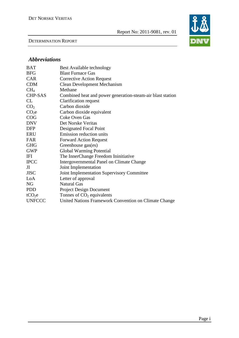#### DETERMINATION REPORT



# *Abbreviations*

| <b>BAT</b>         | Best Available technology                                  |
|--------------------|------------------------------------------------------------|
| <b>BFG</b>         | <b>Blast Furnace Gas</b>                                   |
| <b>CAR</b>         | <b>Corrective Action Request</b>                           |
| <b>CDM</b>         | <b>Clean Development Mechanism</b>                         |
| CH <sub>4</sub>    | Methane                                                    |
| <b>CHP-SAS</b>     | Combined heat and power generation-steam-air blast station |
| CL                 | Clarification request                                      |
| CO <sub>2</sub>    | Carbon dioxide                                             |
| CO <sub>2</sub> e  | Carbon dioxide equivalent                                  |
| COG                | Coke Oven Gas                                              |
| <b>DNV</b>         | Det Norske Veritas                                         |
| <b>DFP</b>         | Designated Focal Point                                     |
| <b>ERU</b>         | Emission reduction units                                   |
| FAR                | <b>Forward Action Request</b>                              |
| <b>GHG</b>         | Greenhouse gas(es)                                         |
| <b>GWP</b>         | <b>Global Warming Potential</b>                            |
| IFI                | The InnerChange Freedom Ininitiative                       |
| <b>IPCC</b>        | Intergovernmental Panel on Climate Change                  |
| JI                 | Joint Implementation                                       |
| <b>JISC</b>        | Joint Implementation Supervisory Committee                 |
| LoA                | Letter of approval                                         |
| <b>NG</b>          | <b>Natural Gas</b>                                         |
| <b>PDD</b>         | <b>Project Design Document</b>                             |
| tCO <sub>2</sub> e | Tonnes of $CO2$ equivalents                                |
| <b>UNFCCC</b>      | United Nations Framework Convention on Climate Change      |
|                    |                                                            |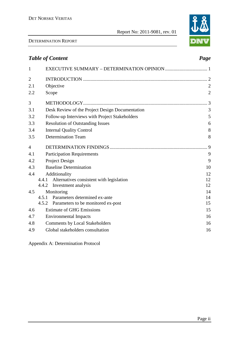#### DETERMINATION REPORT

# Page ii

|                | <b>Table of Content</b>                                                        | Page           |
|----------------|--------------------------------------------------------------------------------|----------------|
| $\mathbf{1}$   |                                                                                |                |
| $\overline{c}$ |                                                                                |                |
| 2.1            | Objective                                                                      | $\overline{2}$ |
| 2.2            | Scope                                                                          | $\overline{2}$ |
| 3              |                                                                                | 3              |
| 3.1            | Desk Review of the Project Design Documentation                                | 3              |
| 3.2            | Follow-up Interviews with Project Stakeholders                                 | 5              |
| 3.3            | <b>Resolution of Outstanding Issues</b>                                        | 6              |
| 3.4            | <b>Internal Quality Control</b>                                                | 8              |
| 3.5            | <b>Determination Team</b>                                                      | 8              |
| 4              |                                                                                | 9              |
| 4.1            | <b>Participation Requirements</b>                                              | 9              |
| 4.2            | Project Design                                                                 | 9              |
| 4.3            | <b>Baseline Determination</b>                                                  | 10             |
| 4.4            | Additionality                                                                  | 12             |
|                | 4.4.1 Alternatives consistent with legislation<br>Investment analysis<br>4.4.2 | 12<br>12       |
| 4.5            | Monitoring                                                                     | 14             |
|                | Parameters determined ex-ante<br>4.5.1                                         | 14             |
|                | 4.5.2<br>Parameters to be monitored ex-post                                    | 15             |
| 4.6            | <b>Estimate of GHG Emissions</b>                                               | 15             |
| 4.7            | <b>Environmental Impacts</b>                                                   | 16             |
| 4.8            | <b>Comments by Local Stakeholders</b>                                          | 16             |
| 4.9            | Global stakeholders consultation                                               | 16             |
|                |                                                                                |                |

Appendix A: Determination Protocol

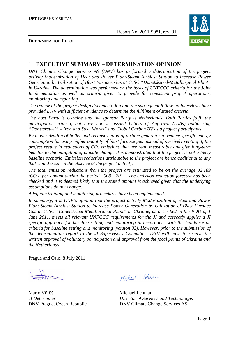

#### DETERMINATION REPORT

# **1 EXECUTIVE SUMMARY – DETERMINATION OPINION**

*DNV Climate Change Services AS (DNV) has performed a determination of the project activity Modernization of Heat and Power Plant-Steam Airblast Station to increase Power Generation by Utilization of Blast Furnace Gas at CJSC "Donetsksteel-Metallurgical Plant" in Ukraine. The determination was performed on the basis of UNFCCC criteria for the Joint Implementation as well as criteria given to provide for consistent project operations, monitoring and reporting.* 

*The review of the project design documentation and the subsequent follow-up interviews have provided DNV with sufficient evidence to determine the fulfilment of stated criteria.* 

*The host Party is Ukraine and the sponsor Party is Netherlands. Both Parties fulfil the participation criteria, but have not yet issued Letters of Approval (LoAs) authorising "Donetsksteel" – Iron and Steel Works" and Global Carbon BV as a project participants.* 

*By modernization of boiler and reconstruction of turbine generator to reduce specific energy consumption for using higher quantity of blast furnace gas instead of passively venting it, the project results in reductions of CO2 emissions that are real, measurable and give long-term benefits to the mitigation of climate change. It is demonstrated that the project is not a likely baseline scenario. Emission reductions attributable to the project are hence additional to any that would occur in the absence of the project activity.* 

*The total emission reductions from the project are estimated to be on the average 82 189 tCO2e per annum during the period 2008 - 2012. The emission reduction forecast has been checked and it is deemed likely that the stated amount is achieved given that the underlying assumptions do not change.* 

*Adequate training and monitoring procedures have been implemented.* 

*In summary, it is DNV's opinion that the project activity Modernization of Heat and Power Plant-Steam Airblast Station to increase Power Generation by Utilization of Blast Furnace Gas at CJSC "Donetsksteel-Metallurgical Plant" in Ukraine, as described in the PDD of 1 June 2011, meets all relevant UNFCCC requirements for the JI and correctly applies a JI specific approach for baseline setting and monitoring in accordance with the Guidance on criteria for baseline setting and monitoring (version 02). However, prior to the submission of the determination report to the JI Supervisory Committee, DNV will have to receive the written approval of voluntary participation and approval from the focal points of Ukraine and the Netherlands.* 

Prague and Oslo, 8 July 2011

Mario Vöröš Michael Lehmann

Michael Chua.

*JI Determiner Director of Services and Technoloigis* DNV Prague, Czech Republic DNV Climate Change Services AS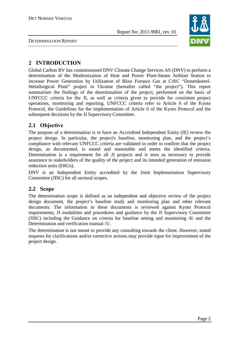



# **2 INTRODUCTION**

Global Carbon BV has commissioned DNV Climate Change Services AS (DNV) to perform a determination of the Modernization of Heat and Power Plant-Steam Airblast Station to increase Power Generation by Utilization of Blast Furnace Gas at CJSC "Donetsksteel-Metallurgical Plant" project in Ukraine (hereafter called "the project"). This report summarises the findings of the determination of the project, performed on the basis of UNFCCC criteria for the JI, as well as criteria given to provide for consistent project operations, monitoring and reporting. UNFCCC criteria refer to Article 6 of the Kyoto Protocol, the Guidelines for the implementation of Article 6 of the Kyoto Protocol and the subsequent decisions by the JI Supervisory Committee.

# **2.1 Objective**

The purpose of a determination is to have an Accredited Independent Entity (IE) review the project design. In particular, the project's baseline, monitoring plan, and the project's compliance with relevant UNFCCC criteria are validated in order to confirm that the project design, as documented, is sound and reasonable and meets the identified criteria. Determination is a requirement for all JI projects and is seen as necessary to provide assurance to stakeholders of the quality of the project and its intended generation of emission reduction units (ERUs).

DNV is an Independent Entity accredited by the Joint Implementation Supervisory Committee (JISC) for all sectoral scopes.

# **2.2 Scope**

The determination scope is defined as an independent and objective review of the project design document, the project's baseline study and monitoring plan and other relevant documents. The information in these documents is reviewed against Kyoto Protocol requirements, JI modalities and procedures and guidance by the JI Supervisory Committee (JISC) including the Guidance on criteria for baseline setting and monitoring /6/ and the Determination and verification manual /5/.

The determination is not meant to provide any consulting towards the client. However, stated requests for clarifications and/or corrective actions may provide input for improvement of the project design.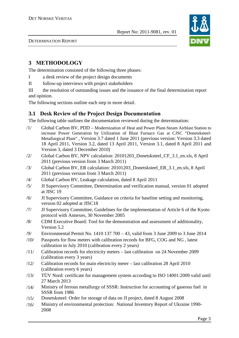

DETERMINATION REPORT

# **3 METHODOLOGY**

The determination consisted of the following three phases:

- I a desk review of the project design documents
- II follow-up interviews with project stakeholders

III the resolution of outstanding issues and the issuance of the final determination report and opinion.

The following sections outline each step in more detail.

# **3.1 Desk Review of the Project Design Documentation**

The following table outlines the documentation reviewed during the determination:

- /1/ Global Carbon BV, PDD Modernization of Heat and Power Plant-Steam Airblast Station to increase Power Generation by Utilization of Blast Furnace Gas at CJSC "Donetsksteel-Metallurgical Plant" , Version 3.7 dated 1 June 2011 (previous version: Version 3.3 dated 18 April 2011, Version 3.2, dated 13 April 2011, Version 3.1, dated 8 April 2011 and Version 3, dated 3 December 2010)
- /2/ Global Carbon BV, NPV calculation: 20101203\_Donetsksteel\_CF\_3.1\_en.xls, 8 April 2011 (previous version from 3 March 2011)
- /3/ Global Carbon BV, ER calculation: 20101203\_Donetsksteel\_ER\_3.1\_en.xls, 8 April 2011 (previous version from 3 March 2011)
- /4/ Global Carbon BV, Leakage calculation, dated 8 April 2011
- /5/ JI Supervisory Committee, Determination and verification manual, version 01 adopted at JISC 19
- /6/ JI Supervisory Committee, Guidance on criteria for baseline setting and monitoring, version 02 adopted at JISC18
- /7/ JI Supervisory Committee, Guidelines for the implementation of Article 6 of the Kyoto protocol with Annexes, 30 November 2005
- /8/ CDM Executive Board: Tool for the demonstration and assessment of additionality, Version 5.2
- /9/ Environmental Permit No. 1410 137 700 43, valid from 3 June 2009 to 3 June 2014
- /10/ Passports for flow meters with calibration records for BFG, COG and NG , latest calibration in July 2010 (calibration every 2 years)
- /11/ Calibration records for electricity meters last calibration on 24 November 2009 (calibration every 3 years)
- /12/ Calibration records for main electricity meter last calibration 28 April 2010 (calibration every 6 years)
- /13/ TÜV Nord: certificate for management system according to ISO 14001:2009 valid until 27 March 2013
- /14/ Ministry of ferrous metallurgy of SSSR: Instruction for accounting of gaseous fuel in SSSR from 1986
- /15/ Donetsksteel: Order for storage of data on JI project, dated 8 August 2008
- /16/ Ministry of environmental protection: National Inventory Report of Ukraine 1990- 2008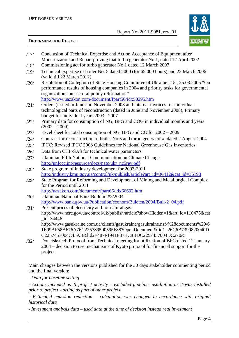

### DETERMINATION REPORT

- /17/ Conclusion of Technical Expertise and Act on Acceptance of Equipment after Modernization and Repair proving that turbo generator No 1, dated 12 April 2002
- /18/ Commissioning act for turbo generator No 1 dated 12 March 2007
- /19/ Technical expertise of boiler No. 5 dated 2000 (for 65 000 hours) and 22 March 2006 (valid till 22 March 2012)
- /20/ Resolution of Collegium of State Housing Committee of Ukraine #15 , 25.03.2005 "On performance results of housing companies in 2004 and priority tasks for governmental organizations on sectoral policy reformation"

http://www.uazakon.com/document/fpart50/idx50295.htm

- /21/ Orders (issued in June and November 2008 and internal invoices for individual technological parts of reconstruction (dated in June and November 2008), Primary budget for individual years 2003 - 2007
- /22/ Primary data for consumption of NG, BFG and COG in individual months and years  $(2002 - 2009)$
- /23/ Excel sheet for total consumption of NG, BFG and CO for 2002 2009
- /24/ Contract for reconstruction of boiler No.5 and turbo generator #, dated 2 August 2004
- /25/ IPCC: Revised IPCC 2006 Guidelines for National Greenhouse Gas Inventories
- /26/ Data from CHP-SAS for technical water parameters
- /27/ Ukrainian Fifth National Communication on Climate Change http://unfccc.int/resource/docs/natc/ukr\_nc5rev.pdf
- /28/ State program of industry development for 2003-2011 http://industry.kmu.gov.ua/control/uk/publish/article?art\_id=36412&cat\_id=36198
- /29/ State Program for Reforming and Development of Mining and Metallurgical Complex for the Period until 2011
- http://uazakon.com/document/fpart66/idx66602.htm /30/ Ukrainian National Bank Bulletin #2/2004
- http://www.bank.gov.ua/Publication/econom/Buleten/2004/Bull-2\_04.pdf
- /31/ Present prices of electricity and for natural gas: http://www.nerc.gov.ua/control/uk/publish/article?showHidden=1&art\_id=110475&cat \_id=34446 http://www.gasukraine.com.ua/clients/gasukraine/gasukraine.nsf/%28documents%29/6 1E09AF58A676A76C225789500595F88?OpenDocument&lid1=26C6B7390820040D

C2257457004C45AB&lid2=487F1941F87BC8BDC2257457004DC270& /32/ Donetsksteel: Protocol from Technical meeting for utilization of BFG dated 12 January

2004 – decision to use mechanisms of Kyoto protocol for financial support for the project

Main changes between the versions published for the 30 days stakeholder commenting period and the final version:

*- Data for baseline setting* 

*- Actions included as JI project activity – excluded pipeline installation as it was installed prior to project starting as part of other project* 

*- Estimated emission reduction – calculation was changed in accordance with original historical data* 

*- Investment analysis data – used data at the time of decision instead real investment*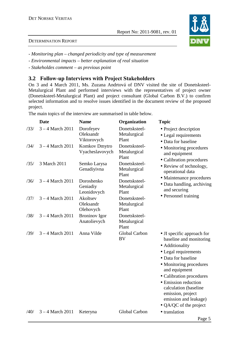# DETERMINATION REPORT

- *Monitoring plan changed periodicity and type of measurement*
- *Environmental impacts better explanation of real situation*
- *Stakeholdes comment as previous point*

# **3.2 Follow-up Interviews with Project Stakeholders**

On 3 and 4 March 2011, Ms. Zuzana Andrtová of DNV visited the site of Donetsksteel-Metalurgical Plant and performed interviews with the representatives of project owner (Donetsksteel-Metalurgical Plant) and project consultant (Global Carbon B.V.) to confirm selected information and to resolve issues identified in the document review of the proposed project.

The main topics of the interview are summarised in table below.

|      | <b>Date</b>        | <b>Name</b>                           | Organization                           | <b>Topic</b>                                                                                                                                                                                                                                                                                                             |
|------|--------------------|---------------------------------------|----------------------------------------|--------------------------------------------------------------------------------------------------------------------------------------------------------------------------------------------------------------------------------------------------------------------------------------------------------------------------|
| /33/ | $3 - 4$ March 2011 | Dorofeyev<br>Oleksandr<br>Viktorovych | Donetsksteel-<br>Metalurgical<br>Plant | • Project description<br>• Legal requirements<br>• Data for baseline                                                                                                                                                                                                                                                     |
| /34/ | $3 - 4$ March 2011 | Komkov Dmytro<br>Vyacheslavovych      | Donetsksteel-<br>Metalurgical<br>Plant | • Monitoring procedures<br>and equipment<br>• Calibration procedures                                                                                                                                                                                                                                                     |
| /35/ | 3 March 2011       | Semko Larysa<br>Genadiyivna           | Donetsksteel-<br>Metalurgical<br>Plant | • Review of technology,<br>operational data                                                                                                                                                                                                                                                                              |
| /36/ | $3 - 4$ March 2011 | Doroshenko<br>Geniadiy<br>Leonidovych | Donetsksteel-<br>Metalurgical<br>Plant | • Maintenance procedures<br>• Data handling, archiving<br>and securing                                                                                                                                                                                                                                                   |
| /37/ | $3 - 4$ March 2011 | Akoltsev<br>Oleksandr<br>Olehovych    | Donetsksteel-<br>Metalurgical<br>Plant | • Personnel training                                                                                                                                                                                                                                                                                                     |
| /38/ | $3 - 4$ March 2011 | <b>Broninov</b> Igor<br>Anatolievych  | Donetsksteel-<br>Metalurgical<br>Plant |                                                                                                                                                                                                                                                                                                                          |
| /39/ | $3 - 4$ March 2011 | Anna Vilde                            | Global Carbon<br>BV                    | • JI specific approach for<br>baseline and monitoring<br>• Additionality<br>• Legal requirements<br>• Data for baseline<br>• Monitoring procedures<br>and equipment<br>• Calibration procedures<br>• Emission reduction<br>calculation (baseline<br>emission, project<br>emission and leakage)<br>• QA/QC of the project |
| /40/ | $3 - 4$ March 2011 | Keteryna                              | Global Carbon                          | • translation                                                                                                                                                                                                                                                                                                            |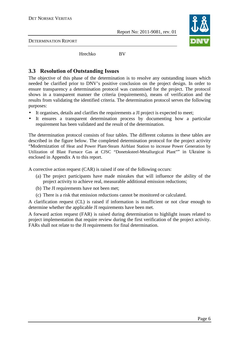

DETERMINATION REPORT

Hrechko BV

# **3.3 Resolution of Outstanding Issues**

The objective of this phase of the determination is to resolve any outstanding issues which needed be clarified prior to DNV's positive conclusion on the project design. In order to ensure transparency a determination protocol was customised for the project. The protocol shows in a transparent manner the criteria (requirements), means of verification and the results from validating the identified criteria. The determination protocol serves the following purposes:

- It organises, details and clarifies the requirements a JI project is expected to meet;
- It ensures a transparent determination process by documenting how a particular requirement has been validated and the result of the determination.

The determination protocol consists of four tables. The different columns in these tables are described in the figure below. The completed determination protocol for the project activity "Modernization of Heat and Power Plant-Steam Airblast Station to increase Power Generation by Utilization of Blast Furnace Gas at CJSC "Donetsksteel-Metallurgical Plant"" in Ukraine is enclosed in Appendix A to this report.

A corrective action request (CAR) is raised if one of the following occurs:

- (a) The project participants have made mistakes that will influence the ability of the project activity to achieve real, measurable additional emission reductions;
- (b) The JI requirements have not been met;
- (c) There is a risk that emission reductions cannot be monitored or calculated.

A clarification request (CL) is raised if information is insufficient or not clear enough to determine whether the applicable JI requirements have been met.

A forward action request (FAR) is raised during determination to highlight issues related to project implementation that require review during the first verification of the project activity. FARs shall not relate to the JI requirements for final determination.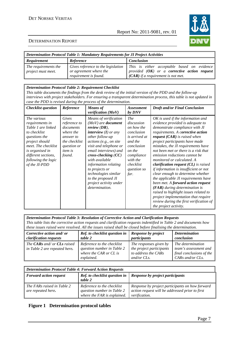

#### DETERMINATION REPORT

| Determination Protocol Table 1: Mandatory Requirements for JI Project Activities |                                                                                       |                                                                                                                                              |  |  |  |  |
|----------------------------------------------------------------------------------|---------------------------------------------------------------------------------------|----------------------------------------------------------------------------------------------------------------------------------------------|--|--|--|--|
| <b>Requirement</b>                                                               | Reference                                                                             | <b>Conclusion</b>                                                                                                                            |  |  |  |  |
| The requirements the<br>project must meet.                                       | Gives reference to the legislation<br>or agreement where the<br>requirement is found. | This is either acceptable based on evidence<br>provided $(OK)$ or a <b>corrective action request</b><br>$(CAR)$ if a requirement is not met. |  |  |  |  |

#### *Determination Protocol Table 2: Requirement Checklist*

*This table documents the findings from the desk review of the initial version of the PDD and the follow-up interviews with project stakeholders. For ensuring a transparent determination process, this table is not updated in case the PDD is revised during the process of the determination.* 

| <b>Checklist</b> question                                                                                                                                                                                        | Reference                                                                                                                | <b>Means</b> of<br>verification (MoV)                                                                                                                                                                                                                                                                                                                                                   | <i>Assessment</i><br>by DNV                                                                                                                                            | <b>Draft and/or Final Conclusion</b>                                                                                                                                                                                                                                                                                                                                                                                                                                                                                                                                                                                                                                                                                                                                               |
|------------------------------------------------------------------------------------------------------------------------------------------------------------------------------------------------------------------|--------------------------------------------------------------------------------------------------------------------------|-----------------------------------------------------------------------------------------------------------------------------------------------------------------------------------------------------------------------------------------------------------------------------------------------------------------------------------------------------------------------------------------|------------------------------------------------------------------------------------------------------------------------------------------------------------------------|------------------------------------------------------------------------------------------------------------------------------------------------------------------------------------------------------------------------------------------------------------------------------------------------------------------------------------------------------------------------------------------------------------------------------------------------------------------------------------------------------------------------------------------------------------------------------------------------------------------------------------------------------------------------------------------------------------------------------------------------------------------------------------|
| The various<br>requirements in<br>Table 1 are linked<br>to checklist<br>questions the<br>project should<br>meet. The checklist<br>is organised in<br>different sections,<br>following the logic<br>of the JI-PDD | Gives<br>reference to<br>documents<br>where the<br>answer to<br>the checklist<br>question or<br><i>item is</i><br>found. | Means of verification<br>$(MoV)$ are <b>document</b><br>review $(DR)$ ,<br>interview $(I)$ or any<br>other follow-up<br>actions (e.g., on site<br>visit and telephone or<br>email interviews) and<br>$cross-checking (CC)$<br>with available<br><i>information relating</i><br>to projects or<br>technologies similar<br>to the proposed JI<br>project activity under<br>determination. | <i>The</i><br>discussion<br>on how the<br>conclusion<br>is arrived at<br>and the<br>conclusion<br>on the<br>compliance<br>with the<br>checklist<br>question so<br>far. | OK is used if the information and<br>evidence provided is adequate to<br>demonstrate compliance with JI<br>requirements. A corrective action<br>request $(CAR)$ is raised when<br>project participants have made<br>mistakes, the JI requirements have<br>not been met or there is a risk that<br>emission reductions cannot be<br>monitored or calculated. A<br><i>clarification request <math>(CL)</math> is raised</i><br>if information is insufficient or not<br>clear enough to determine whether<br>the applicable JI requirements have<br>been met. A forward action request<br>$(FAR)$ during determination is<br>raised to highlight issues related to<br>project implementation that require<br>review during the first verification of<br><i>the project activity.</i> |

*Determination Protocol Table 3: Resolution of Corrective Action and Clarification Requests This table lists the corrective action requests and clarification requests indentified in Table 2 and documents how these issues raised were resolved. All the issues raised shall be closed before finalising the determination.* 

| Corrective action and/ or                                                  | Ref. to checklist question in                                                                    | <b>Response by project</b>                                                                  | <b>Determination</b>                                                                       |
|----------------------------------------------------------------------------|--------------------------------------------------------------------------------------------------|---------------------------------------------------------------------------------------------|--------------------------------------------------------------------------------------------|
| clarification requests                                                     | table 2                                                                                          | participants                                                                                | conclusion                                                                                 |
| The <b>CARs</b> and/ or <b>CLs</b> raised<br>in Table 2 are repeated here. | Reference to the checklist<br>question number in Table 2<br>where the CAR or CL is<br>explained. | The responses given by<br>the project participants<br>to address the CARs<br>and/or $CLs$ . | The determination<br>team's assessment and<br>final conclusions of the<br>CARs and/or CLs. |

| <b>Determination Protocol Table 4: Forward Action Requests</b> |                                                                                         |                                                                                                                     |  |  |  |  |
|----------------------------------------------------------------|-----------------------------------------------------------------------------------------|---------------------------------------------------------------------------------------------------------------------|--|--|--|--|
| <b>Forward action request</b>                                  | <b>Ref.</b> to checklist question in<br>table 2                                         | <b>Response by project participants</b>                                                                             |  |  |  |  |
| The FARs raised in Table 2<br>are repeated here.               | Reference to the checklist<br>question number in Table 2<br>where the FAR is explained. | Response by project participants on how forward<br>action request will be addressed prior to first<br>verification. |  |  |  |  |

### **Figure 1 Determination protocol tables**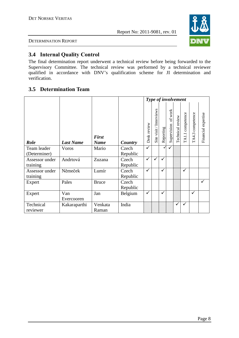

DETERMINATION REPORT

# **3.4 Internal Quality Control**

The final determination report underwent a technical review before being forwarded to the Supervisory Committee. The technical review was performed by a technical reviewer qualified in accordance with DNV's qualification scheme for JI determination and verification.

# **3.5 Determination Team**

|                             |                   |                             |                   |             |                         | Type of involvement |                        |                  |                                |                  |                     |
|-----------------------------|-------------------|-----------------------------|-------------------|-------------|-------------------------|---------------------|------------------------|------------------|--------------------------------|------------------|---------------------|
| <b>Role</b>                 | <b>Last Name</b>  | <b>First</b><br><b>Name</b> | Country           | Desk review | Site visit / Interviews | Reporting           | of work<br>Supervision | Technical review | competence<br>$\texttt{TA1.1}$ | TA4.3 competence | Financial expertise |
| Team leader<br>(Determiner) | <b>V</b> oros     | Mario                       | Czech<br>Republic | ✓           |                         | ✓                   | ✓                      |                  |                                |                  |                     |
| Assessor under<br>training  | Andrtová          | Zuzana                      | Czech<br>Republic | ✓           |                         | ✓                   |                        |                  |                                |                  |                     |
| Assessor under<br>training  | Němeček           | Lumír                       | Czech<br>Republic | ✓           |                         | $\checkmark$        |                        |                  | ✓                              |                  |                     |
| Expert                      | Pales             | <b>Bruce</b>                | Czech<br>Republic |             |                         |                     |                        |                  |                                |                  | $\checkmark$        |
| Expert                      | Van<br>Evercooren | Jan                         | Belgium           | ✓           |                         | ✓                   |                        |                  |                                | ✓                |                     |
| Technical<br>reviewer       | Kakaraparthi      | Venkata<br>Raman            | India             |             |                         |                     |                        | ✓                | ✓                              |                  |                     |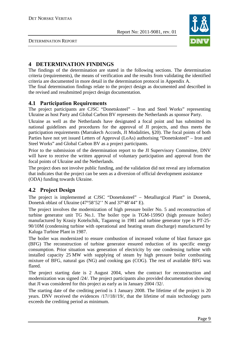

DETERMINATION REPORT

# **4 DETERMINATION FINDINGS**

The findings of the determination are stated in the following sections. The determination criteria (requirements), the means of verification and the results from validating the identified criteria are documented in more detail in the determination protocol in Appendix A.

The final determination findings relate to the project design as documented and described in the revised and resubmitted project design documentation.

# **4.1 Participation Requirements**

The project participants are CJSC "Donetsksteel" – Iron and Steel Works" representing Ukraine as host Party and Global Carbon BV represents the Netherlands as sponsor Party.

Ukraine as well as the Netherlands have designated a focal point and has submitted its national guidelines and procedures for the approval of JI projects, and thus meets the participation requirements (Marrakech Accords, JI Modalities, §20). The focal points of both Parties have not yet issued Letters of Approval (LoAs) authorising "Donetsksteel" – Iron and Steel Works" and Global Carbon BV as a project participants.

Prior to the submission of the determination report to the JI Supervisory Committee, DNV will have to receive the written approval of voluntary participation and approval from the focal points of Ukraine and the Netherlands.

The project does not involve public funding, and the validation did not reveal any information that indicates that the project can be seen as a diversion of official development assistance (ODA) funding towards Ukraine.

# **4.2 Project Design**

The project is implemented at CJSC "Donetsksteel" – Metallurgical Plant" in Donetsk, Donetsk oblast of Ukraine (47°58'52'' N and 37°48'44" E).

The project involves the modernization of high pressure boiler No. 5 and reconstruction of turbine generator unit TG No.1. The boiler type is TGM-159SO (high pressure boiler) manufactured by Krasiy Kotelschik, Taganrog in 1981 and turbine generator type is PT-25- 90/10M (condensing turbine with operational and heating steam discharge) manufactured by Kaluga Turbine Plant in 1987.

The boiler was modernized to ensure combustion of increased volume of blast furnace gas (BFG) The reconstruction of turbine generator ensured reduction of its specific energy consumption. Prior situation was generation of electricity by one condensing turbine with installed capacity 25 MW with supplying of steam by high pressure boiler combusting mixture of BFG, natural gas (NG) and cooking gas (COG). The rest of available BFG was flared.

The project starting date is 2 August 2004, when the contract for reconstruction and modernization was signed /24/. The project participants also provided documentation showing that JI was considered for this project as early as in January 2004 /32/.

The starting date of the crediting period is 1 January 2008. The lifetime of the project is 20 years. DNV received the evidences /17//18//19/, that the lifetime of main technology parts exceeds the crediting period as minimum.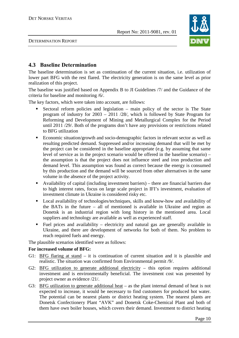

DETERMINATION REPORT

# **4.3 Baseline Determination**

The baseline determination is set as continuation of the current situation, i.e. utilization of lower part BFG with the rest flared. The electricity generation is on the same level as prior realization of this project.

The baseline was justified based on Appendix B to JI Guidelines /7/ and the Guidance of the criteria for baseline and monitoring /6/.

The key factors, which were taken into account, are follows:

- - Sectoral reform policies and legislation – main policy of the sector is The State program of industry for 2003 – 2011 /28/, which is followed by State Program for Reforming and Development of Mining and Metallurgical Complex for the Period until 2011 /29/. Both of the programs don't have any provisions or restrictions related to BFG utilization
- **Example 1** Economic situation/growth and socio-demographic factors in relevant sector as well as resulting predicted demand. Suppressed and/or increasing demand that will be met by the project can be considered in the baseline appropriate (e.g. by assuming that same level of service as in the project scenario would be offered in the baseline scenario) – the assumption is that the project does not influence steel and iron production and demand level. This assumption was found as correct because the energy is consumed by this production and the demand will be sourced from other alternatives in the same volume in the absence of the project activity.
- Availability of capital (including investment barriers) there are financial barriers due to high interest rates, focus on large scale project in IFI's investment, evaluation of investment climate in Ukraine is considered risky etc.
- Local availability of technologies/techniques, skills and know-how and availability of the BATs in the future – all of mentioned is available in Ukraine and region as Donetsk is an industrial region with long history in the mentioned area. Local suppliers and technology are available as well as experienced staff.
- Fuel prices and availability electricity and natural gas are generally available in Ukraine, and there are development of networks for both of them. No problem to reach required fuels and energy.

The plausible scenarios identified were as follows:

### **For increased volume of BFG:**

- G1: BFG flaring at stand it is continuation of current situation and it is plausible and realistic. The situation was confirmed from Environmental permit /9/.
- G2: BFG utilization to generate additional electricity this option requires additional investment and is environmentally beneficial. The investment cost was presented by project owner as evidence /21/.
- G3: BFG utilization to generate additional heat as the plant internal demand of heat is not expected to increase, it would be necessary to find customers for produced hot water. The potential can be nearest plants or district heating system. The nearest plants are Donetsk Confectionery Plant "AVK" and Donetsk Coke-Chemical Plant and both of them have own boiler houses, which covers their demand. Investment to district heating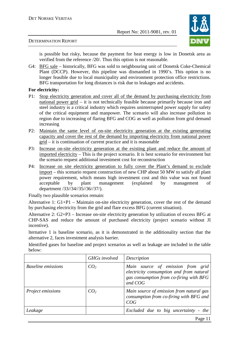

#### DETERMINATION REPORT

is possible but risky, because the payment for heat energy is low in Donetsk area as verified from the reference /20/. Thus this option is not reasonable.

G4: BFG sale – historically, BFG was sold to neighbouring unit of Donetsk Coke-Chemical Plant (DCCP). However, this pipeline was dismantled in 1990's. This option is no longer feasible due to local municipality and environment protection office restrictions. BFG transportation for long distances is risk due to leakages and accidents.

#### **For electricity:**

- P1: Stop electricity generation and cover all of the demand by purchasing electricity from national power grid – it is not technically feasible because primarily because iron and steel industry is a critical industry which requires uninterrupted power supply for safety of the critical equipment and manpower. The scenario will also increase pollution in region due to increasing of flaring BFG and COG as well as pollution from grid demand increasing
- P2: Maintain the same level of on-site electricity generation at the existing generating capacity and cover the rest of the demand by importing electricity from national power grid – it is continuation of current practice and it is reasonable
- P3: Increase on-site electricity generation at the existing plant and reduce the amount of imported electricity – This is the project scenario. It is best scenario for environment but the scenario request additional investment cost for reconstruction
- P4: Increase on site electricity generation to fully cover the Plant's demand to exclude import – this scenario request construction of new CHP about 50 MW to satisfy all plant power requirement, which means high investment cost and this value was not found acceptable by plant management (explained by management of department /33//34//35//36//37/).

Finally two plausible scenarios remain:

Alternative 1: G1+P1 – Maintain on-site electricity generation, cover the rest of the demand by purchasing electricity from the grid and flare excess BFG (current situation).

Alternative 2: G2+P3 – Increase on-site electricity generation by utilization of excess BFG at CHP-SAS and reduce the amount of purchased electricity (project scenario without JI incentive).

lternative 1 is baseline scenario, as it is demonstrated in the additionality section that the alternative 2, faces investment analysis barrier.

Identified gases for baseline and project scenarios as well as leakage are included in the table below:

|                           | <b>GHGs</b> involved | Description                                                                                                                         |
|---------------------------|----------------------|-------------------------------------------------------------------------------------------------------------------------------------|
| <b>Baseline emissions</b> | CO <sub>2</sub>      | Main source of emission from grid<br>electricity consumption and from natural<br>gas consumption from co-firing with BFG<br>and COG |
| Project emissions         | CO <sub>2</sub>      | Main source of emission from natural gas<br>consumption from co-firing with BFG and<br>COG                                          |
| Leakage                   |                      | Excluded due to big uncertainty - the                                                                                               |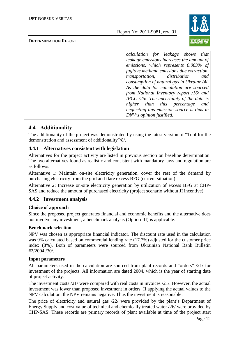

### DETERMINATION REPORT

# **4.4 Additionality**

The additionality of the project was demonstrated by using the latest version of "Tool for the demonstration and assessment of additionality"/8/.

# **4.4.1 Alternatives consistent with legislation**

Alternatives for the project activity are listed in previous section on baseline determination. The two alternatives found as realistic and consistent with mandatory laws and regulation are as follows:

Alternative 1: Maintain on-site electricity generation, cover the rest of the demand by purchasing electricity from the grid and flare excess BFG (current situation)

Alternative 2: Increase on-site electricity generation by utilization of excess BFG at CHP-SAS and reduce the amount of purchased electricity (project scenario without JI incentive)

# **4.4.2 Investment analysis**

### **Choice of approach**

Since the proposed project generates financial and economic benefits and the alternative does not involve any investment, a benchmark analysis (Option III) is applicable.

### **Benchmark selection**

NPV was chosen as appropriate financial indicator. The discount rate used in the calculation was 9% calculated based on commercial lending rate (17.7%) adjusted for the customer price index (8%). Both of parameters were sourced from Ukrainian National Bank Bulletin #2/2004 /30/.

### **Input parameters**

All parameters used in the calculation are sourced from plant records and "orders" /21/ for investment of the projects. All information are dated 2004, which is the year of starting date of project activity.

The investment costs /21/ were compared with real costs in invoices /21/. However, the actual investment was lower than proposed investment in orders. If applying the actual values to the NPV calculation, the NPV remains negative. Thus the investment is reasonable.

The price of electricity and natural gas /22/ were provided by the plant's Department of Energy Supply and cost value of technical and chemically treated water /26/ were provided by CHP-SAS. These records are primary records of plant available at time of the project start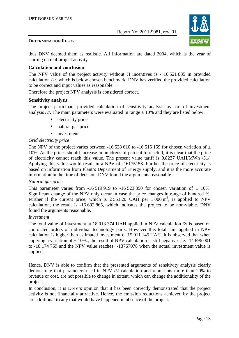

#### DETERMINATION REPORT

thus DNV deemed them as realistic. All information are dated 2004, which is the year of starting date of project activity.

#### **Calculation and conclusion**

The NPV value of the project activity without JI incentives is - 16 521 885 in provided calculation /2/, which is below chosen benchmark. DNV has verified the provided calculation to be correct and input values as reasonable.

Therefore the project NPV analysis is considered correct.

#### **Sensitivity analysis**

The project participant provided calculation of sensitivity analysis as part of investment analysis  $\frac{2}{1}$ . The main parameters were evaluated in range  $\pm$  10% and they are listed below:

- electricity price
- natural gas price
- investment

#### *Grid electricity price*

The NPV of the project varies between -16 528 610 to -16 515 159 for chosen variation of  $\pm$ 10%. As the prices should increase in hundreds of percent to reach 0, it is clear that the price of electricity cannot reach this value. The present value tariff is 0.8237 UAH/MWh /31/. Applying this value would result in a NPV of -16175158. Further the price of electricity is based on information from Plant's Department of Energy supply, and it is the more accurate information in the time of decision. DNV found the arguments reasonable.

#### *Natural gas price*

This parameter varies from  $-16\,519\,919$  to  $-16\,523\,850$  for chosen variation of  $\pm$  10%. Significant change of the NPV only occur in case the price changes in range of hundred %. Further if the current price, which is  $2553.20$  UAH per  $1000 \text{ m}^3$ , is applied to NPV calculation, the result is -16 692 865, which indicates the project to be non-viable. DNV found the arguments reasonable.

#### *Investment*

The total value of investment at 18 013 374 UAH applied in NPV calculation /2/ is based on contracted orders of individual technology parts. However this total sum applied in NPV calculation is higher than estimated investment of 15 011 145 UAH. It is observed that when applying a variation of  $\pm 10\%$ ., the result of NPV calculation is still negative, i.e. -14 896 001 to -18 174 769 and the NPV value reaches -13767078 when the actual investment value is applied.

Hence, DNV is able to confirm that the presented arguments of sensitivity analysis clearly demonstrate that parameters used in NPV /3/ calculation and represents more than 20% to revenue or cost, are not possible to change in extent, which can change the additionality of the project.

In conclusion, it is DNV's opinion that it has been correctly demonstrated that the project activity is not financially attractive. Hence, the emission reductions achieved by the project are additional to any that would have happened in absence of the project.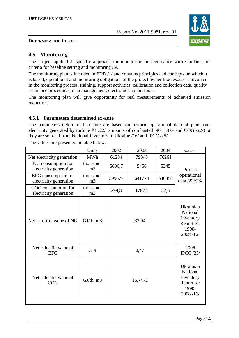

DETERMINATION REPORT

# **4.5 Monitoring**

The project applied JI specific approach for monitoring in accordance with Guidance on criteria for baseline setting and monitoring /6/.

The monitoring plan is included in PDD /1/ and contains principles and concepts on which it is based, operational and monitoring obligations of the project owner like resources involved in the monitoring process, training, support activities, calibration and collection data, quality assurance procedures, data management, electronic support tools.

The monitoring plan will give opportunity for real measurements of achieved emission reductions.

# **4.5.1 Parameters determined ex-ante**

The parameters determined ex-ante are based on historic operational data of plant (net electricity generated by turbine #1 /22/, amounts of combusted NG, BFG and COG /22/) or they are sourced from National Inventory in Ukraine /16/ and IPCC /25/

|                                               | Units                       | 2002   | 2003                                                                  | 2004   | source                       |
|-----------------------------------------------|-----------------------------|--------|-----------------------------------------------------------------------|--------|------------------------------|
| Net electricity generation                    | <b>MWh</b>                  | 61284  | 79348                                                                 | 76261  |                              |
| NG consumption for<br>electricity generation  | thousand.<br>m <sub>3</sub> | 5606,7 | 5456                                                                  | 5345   | Project                      |
| BFG consumption for<br>electricity generation | thousand.<br>m <sub>3</sub> | 399677 | 641774                                                                | 646358 | operational<br>data /22//23/ |
| COG consumption for<br>electricity generation | thousand.<br>m <sub>3</sub> | 299,8  | 1787,1                                                                | 82,6   |                              |
| Net calorific value of NG                     | $GJ/th.$ m $3$              |        | Ukrainian<br>National<br>Inventory<br>Report for<br>1990-<br>2008/16/ |        |                              |
| Net calorific value of<br><b>BFG</b>          | GJ/t                        |        | 2,47                                                                  |        | 2006<br><b>IPCC</b> /25/     |
| Net calorific value of<br>COG                 | $GJ/th.$ m $3$              |        | Ukrainian<br>National<br>Inventory<br>Report for<br>1990-<br>2008/16/ |        |                              |

The values are presented in table below: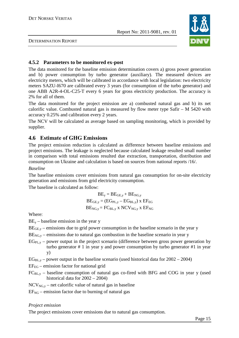

DETERMINATION REPORT

# **4.5.2 Parameters to be monitored ex-post**

The data monitored for the baseline emission determination covers a) gross power generation and b) power consumption by turbo generator (auxiliary). The measured devices are electricity meters, which will be calibrated in accordance with local legislation: two electricity meters SAZU-I670 are calibrated every 3 years (for consumption of the turbo generator) and one ABB A2R-4-OL-C25-T every 6 years for gross electricity production. The accuracy is 2% for all of them.

The data monitored for the project emission are a) combusted natural gas and b) its net calorific value. Combusted natural gas is measured by flow meter type Safir – M 5420 with accuracy 0.25% and calibration every 2 years.

The NCV will be calculated as average based on sampling monitoring, which is provided by supplier.

# **4.6 Estimate of GHG Emissions**

The project emission reduction is calculated as difference between baseline emissions and project emissions. The leakage is neglected because calculated leakage resulted small number in comparison with total emissions resulted due extraction, transportation, distribution and consumption on Ukraine and calculation is based on sources from national reports /16/.

#### *Baseline*

The baseline emissions cover emissions from natural gas consumption for on-site electricity generation and emissions from grid electricity consumption.

The baseline is calculated as follow:

$$
BE_y = BE_{GE,y} + BE_{NG,y}
$$
  

$$
BE_{GE,y} = (EG_{PL,y} - EG_{BL,y}) \times EF_{EG}
$$
  

$$
BE_{NG,y} = FC_{BL,y} \times NCV_{NG,y} \times EF_{NG}
$$

Where:

 $BE<sub>v</sub>$  – baseline emission in the year y

- $BE<sub>GE y</sub>$  emissions due to grid power consumption in the baseline scenario in the year y
- $BE<sub>NGv</sub>$  emissions due to natural gas combustion in the baseline scenario in year y
- $EG_{PL,v}$  power output in the project scenario (difference between gross power generation by turbo generator # 1 in year y and power consumption by turbo generator #1 in year y)
- $EG_{BL,v}$  power output in the baseline scenario (used historical data for  $2002 2004$ )
- $EF_{EG}$  emission factor for national grid
- $FC_{BL, y}$  baseline consumption of natural gas co-fired with BFG and COG in year y (used historical data for 2002 – 2004)
- $NCV_{NG, y}$  net calorific value of natural gas in baseline
- $EF<sub>NG</sub>$  emission factor due to burning of natural gas

#### *Project emission*

The project emissions cover emissions due to natural gas consumption.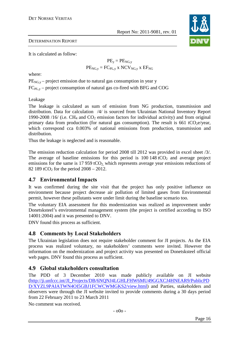

### DETERMINATION REPORT

It is calculated as follow:

$$
PE_y = PE_{NG,y}
$$

$$
PE_{NG,y} = FC_{PL,y} \times NCV_{NG,y} \times EF_{NG}
$$

where:

 $PE<sub>NGv</sub>$  – project emission due to natural gas consumption in year y

 $FC_{PL,y}$  – project consumption of natural gas co-fired with BFG and COG

Leakage

The leakage is calculated as sum of emission from NG production, transmission and distribution. Data for calculation /4/ is sourced from Ukrainian National Inventory Report 1990-2008 /16/ (i.e.  $CH_4$  and  $CO_2$  emission factors for individual activity) and from original primary data from production (for natural gas consumption). The result is 661 tCO<sub>2</sub>e/year, which correspond cca 0.003% of national emissions from production, transmission and distribution.

Thus the leakage is neglected and is reasonable.

The emission reduction calculation for period 2008 till 2012 was provided in excel sheet /3/. The average of baseline emissions for this period is  $100\,148\,tCO<sub>2</sub>$  and average project emissions for the same is 17 959 tCO<sub>2</sub>, which represents average year emissions reductions of 82 189 tCO<sub>2</sub> for the period  $2008 - 2012$ .

# **4.7 Environmental Impacts**

It was confirmed during the site visit that the project has only positive influence on environment because project decrease air pollution of limited gases from Environmental permit, however these pollutants were under limit during the baseline scenario too.

The voluntary EIA assessment for this modernization was realized as improvement under Donetsksteel's environmental management system (the project is certified according to ISO 14001:2004) and it was presented to DNV.

DNV found this process as sufficient.

# **4.8 Comments by Local Stakeholders**

The Ukrainian legislation does not require stakeholder comment for JI projects. As the EIA process was realized voluntary, no stakeholders' comments were invited. However the information on the modernization and project activity was presented on Donetsksteel official web pages. DNV found this process as sufficient.

# **4.9 Global stakeholders consultation**

The PDD of 3 December 2010 was made publicly available on JI website (http://ji.unfccc.int/JI\_Projects/DB/6NQNJ4LGHLFHW6MU49GGXCJ4HNEAR9/PublicPD D/XYZL9PAIATWN4OI5GBJ1FCWCWMGKS2/view.html) and Parties, stakeholders and observers were through the JI website invited to provide comments during a 30 days period from 22 February 2011 to 23 March 2011

No comment was received.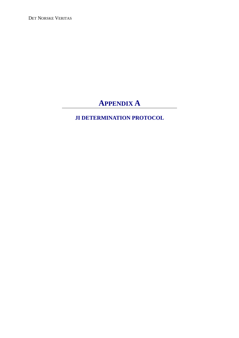DET NORSKE VERITAS

# **APPENDIX A**

# **JI DETERMINATION PROTOCOL**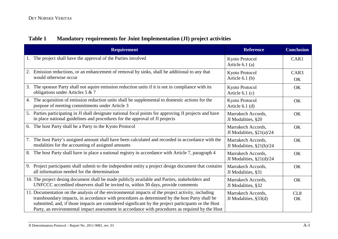# **Table 1 Mandatory requirements for Joint Implementation (JI) project activities**

| <b>Requirement</b>                                                                                                                                                                                                                                                                                                                                                                                           | <b>Reference</b>                                  | <b>Conclusion</b>      |
|--------------------------------------------------------------------------------------------------------------------------------------------------------------------------------------------------------------------------------------------------------------------------------------------------------------------------------------------------------------------------------------------------------------|---------------------------------------------------|------------------------|
| The project shall have the approval of the Parties involved<br>1.                                                                                                                                                                                                                                                                                                                                            | Kyoto Protocol<br>Article $6.1$ (a)               | CAR1                   |
| Emission reductions, or an enhancement of removal by sinks, shall be additional to any that<br>2.<br>would otherwise occur                                                                                                                                                                                                                                                                                   | Kyoto Protocol<br>Article $6.1$ (b)               | CAR <sub>3</sub><br>OK |
| The sponsor Party shall not aquire emission reduction units if it is not in compliance with its<br>3.<br>obligations under Articles 5 & 7                                                                                                                                                                                                                                                                    | Kyoto Protocol<br>Article $6.1(c)$                | OK                     |
| The acquisition of emission reduction units shall be supplemental to domestic actions for the<br>4.<br>purpose of meeting commitments under Article 3                                                                                                                                                                                                                                                        | <b>Kyoto Protocol</b><br>Article $6.1$ (d)        | OK                     |
| 5. Parties participating in JI shall designate national focal points for approving JI projects and have<br>in place national guidelines and procedures for the approval of JI projects                                                                                                                                                                                                                       | Marrakech Accords,<br>JI Modalities, §20          | OK                     |
| 6. The host Party shall be a Party to the Kyoto Protocol                                                                                                                                                                                                                                                                                                                                                     | Marrakech Accords,<br>JI Modalities, $\S21(a)/24$ | OK                     |
| The host Party's assigned amount shall have been calculated and recorded in accordance with the<br>7.<br>modalities for the accounting of assigned amounts                                                                                                                                                                                                                                                   | Marrakech Accords,<br>JI Modalities, $\S21(b)/24$ | OK                     |
| The host Party shall have in place a national registry in accordance with Article 7, paragraph 4<br>8.                                                                                                                                                                                                                                                                                                       | Marrakech Accords,<br>JI Modalities, $\S21(d)/24$ | OK                     |
| Project participants shall submit to the independent entity a project design document that contains<br>9.<br>all information needed for the determination                                                                                                                                                                                                                                                    | Marrakech Accords,<br>JI Modalities, §31          | OK                     |
| 10. The project desing document shall be made publicly available and Parties, stakeholders and<br>UNFCCC accredited observers shall be invited to, within 30 days, provide comments                                                                                                                                                                                                                          | Marrakech Accords,<br>JI Modalities, §32          | OK                     |
| 11. Documentation on the analysis of the environmental impacts of the project activity, including<br>transboundary impacts, in accordance with procedures as determined by the host Party shall be<br>submitted, and, if those impacts are considered significant by the project participants or the Host<br>Party, an environmental impact assessment in accordance with procedures as required by the Host | Marrakech Accords,<br>JI Modalities, §33(d)       | CL <sub>8</sub><br>OK  |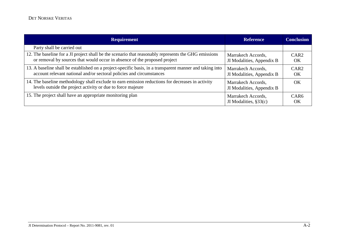| <b>Requirement</b>                                                                                                                                                                | <b>Reference</b>                                | <b>Conclusion</b>      |
|-----------------------------------------------------------------------------------------------------------------------------------------------------------------------------------|-------------------------------------------------|------------------------|
| Party shall be carried out                                                                                                                                                        |                                                 |                        |
| 12. The baseline for a JI project shall be the scenario that reasonably represents the GHG emissions<br>or removal by sources that would occur in absence of the proposed project | Marrakech Accords,<br>JI Modalities, Appendix B | CAR <sub>2</sub><br>OK |
| 13. A baseline shall be established on a project-specific basis, in a transparent manner and taking into<br>account relevant national and/or sectoral policies and circumstances  | Marrakech Accords,<br>JI Modalities, Appendix B | CAR <sub>2</sub><br>OK |
| 14. The baseline methodology shall exclude to earn emission reductions for decreases in activity<br>levels outside the project activity or due to force majeure                   | Marrakech Accords,<br>JI Modalities, Appendix B | OK                     |
| 15. The project shall have an appropriate monitoring plan                                                                                                                         | Marrakech Accords,<br>JI Modalities, $\S 33(c)$ | CAR <sub>6</sub><br>OK |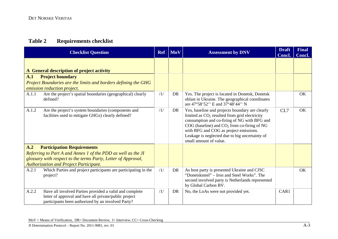# **Table 2 Requirements checklist**

|       | <b>Checklist Question</b>                                                                                                                                               | <b>Ref</b> | $\blacksquare$ MoV | <b>Assessment by DNV</b>                                                                                                                                                                                                                                                                                                    | <b>Draft</b><br>Concl. | <b>Final</b><br>Concl. |
|-------|-------------------------------------------------------------------------------------------------------------------------------------------------------------------------|------------|--------------------|-----------------------------------------------------------------------------------------------------------------------------------------------------------------------------------------------------------------------------------------------------------------------------------------------------------------------------|------------------------|------------------------|
| A.1   | A General description of project activity<br><b>Project boundary</b><br>Project Boundaries are the limits and borders defining the GHG<br>emission reduction project.   |            |                    |                                                                                                                                                                                                                                                                                                                             |                        |                        |
| A.1.1 | Are the project's spatial boundaries (geographical) clearly<br>defined?                                                                                                 | /1/        | DR                 | Yes. The project is located in Donetsk, Donetsk<br>oblast in Ukraine. The geographical coordinates<br>are 47°58'52" E and 37°48'44" N                                                                                                                                                                                       |                        | <b>OK</b>              |
| A.1.2 | Are the project's system boundaries (components and<br>facilities used to mitigate GHGs) clearly defined?                                                               | /1/        | DR                 | Yes, baseline and projects boundary are clearly<br>limited as $CO2$ resulted from grid electricity<br>consumption and co-firing of NG with BFG and<br>$COG$ (baseline) and $CO2$ from co-firing of NG<br>with BFG and COG as project emissions.<br>Leakage is neglected due to big uncertainty of<br>small amount of value. | CL7                    | OK                     |
| A.2   | <b>Participation Requirements</b>                                                                                                                                       |            |                    |                                                                                                                                                                                                                                                                                                                             |                        |                        |
|       | Referring to Part A and Annex 1 of the PDD as well as the JI                                                                                                            |            |                    |                                                                                                                                                                                                                                                                                                                             |                        |                        |
|       | glossary with respect to the terms Party, Letter of Approval,<br><b>Authorization and Project Participant.</b>                                                          |            |                    |                                                                                                                                                                                                                                                                                                                             |                        |                        |
| A.2.1 | Which Parties and project participants are participating in the<br>project?                                                                                             | /1/        | DR                 | As host party is presented Ukraine and CJSC<br>"Donetsksteel" – Iron and Steel Works". The<br>second involved party is Netherlands represented<br>by Global Carbon BV.                                                                                                                                                      |                        | OK                     |
| A.2.2 | Have all involved Parties provided a valid and complete<br>letter of approval and have all private/public project<br>participants been authorized by an involved Party? | /1/        | <b>DR</b>          | No, the LoAs were not provided yet.                                                                                                                                                                                                                                                                                         | CAR1                   |                        |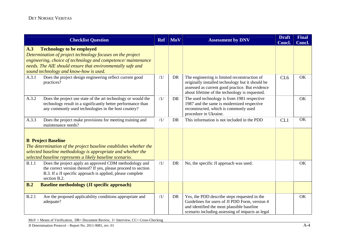|       | <b>Checklist Question</b>                                                                                                                                                                                                                                              | <b>Ref</b> | <b>MoV</b> | <b>Assessment by DNV</b>                                                                                                                                                                              | <b>Draft</b><br><b>Concl.</b> | <b>Final</b><br>Concl. |
|-------|------------------------------------------------------------------------------------------------------------------------------------------------------------------------------------------------------------------------------------------------------------------------|------------|------------|-------------------------------------------------------------------------------------------------------------------------------------------------------------------------------------------------------|-------------------------------|------------------------|
| A.3   | <b>Technology to be employed</b><br>Determination of project technology focuses on the project<br>engineering, choice of technology and competence/maintenance<br>needs. The AIE should ensure that environmentally safe and<br>sound technology and know-how is used. |            |            |                                                                                                                                                                                                       |                               |                        |
| A.3.1 | Does the project design engineering reflect current good<br>practices?                                                                                                                                                                                                 | /1/        | <b>DR</b>  | The engineering is limited reconstruction of<br>originally installed technology but it should be<br>assessed as current good practice. But evidence<br>about lifetime of the technology is requested. | CL <sub>6</sub>               | OK                     |
| A.3.2 | Does the project use state of the art technology or would the<br>technology result in a significantly better performance than<br>any commonly used technologies in the host country?                                                                                   | /1/        | DR         | The used technology is from 1981 respective<br>1987 and the same is modernized respective<br>reconstructed, which is commonly used<br>procedure in Ukraine.                                           |                               | OK                     |
| A.3.3 | Does the project make provisions for meeting training and<br>maintenance needs?                                                                                                                                                                                        | /1/        | <b>DR</b>  | This information is not included in the PDD                                                                                                                                                           | CL1                           | OK                     |
|       | <b>B</b> Project Baseline<br>The determination of the project baseline establishes whether the<br>selected baseline methodology is appropriate and whether the<br>selected baseline represents a likely baseline scenario.                                             |            |            |                                                                                                                                                                                                       |                               |                        |
| B.1.1 | Does the project apply an approved CDM methodology and<br>the correct version thereof? If yes, please proceed to section<br>B.3. If a JI specific approach is applied, please complete<br>section B.2.                                                                 | /1/        | DR         | No, the specific JI approach was used.                                                                                                                                                                |                               | OK                     |
| B.2   | <b>Baseline methodology (JI specific approach)</b>                                                                                                                                                                                                                     |            |            |                                                                                                                                                                                                       |                               |                        |
| B.2.1 | Are the proposed applicability conditions appropriate and<br>adequate?                                                                                                                                                                                                 | /1/        | DR         | Yes, the PDD describe steps requested in the<br>Guidelines for users of JI PDD Form, version 4<br>and identified the most plausible baseline<br>scenario including assessing of impacts as legal      |                               | OK                     |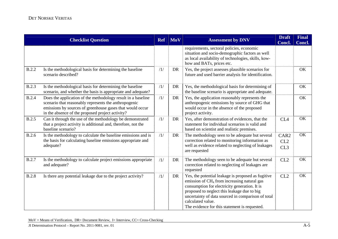|              | <b>Checklist Question</b>                                                                                                                                                                                                              | <b>Ref</b> | <b>MoV</b> | <b>Assessment by DNV</b>                                                                                                                                                                                                                                                                                                                  | <b>Draft</b><br>Concl.                     | <b>Final</b><br>Concl. |
|--------------|----------------------------------------------------------------------------------------------------------------------------------------------------------------------------------------------------------------------------------------|------------|------------|-------------------------------------------------------------------------------------------------------------------------------------------------------------------------------------------------------------------------------------------------------------------------------------------------------------------------------------------|--------------------------------------------|------------------------|
|              |                                                                                                                                                                                                                                        |            |            | requirements, sectoral policies, economic<br>situation and socio-demographic factors as well<br>as local availability of technologies, skills, kow-<br>how and BATs, prices etc.                                                                                                                                                          |                                            |                        |
| <b>B.2.2</b> | Is the methodological basis for determining the baseline<br>scenario described?                                                                                                                                                        | /1/        | <b>DR</b>  | Yes, the project assesses plausible scenarios for<br>future and used barrier analysis for identification.                                                                                                                                                                                                                                 |                                            | OK                     |
| <b>B.2.3</b> | Is the methodological basis for determining the baseline<br>scenario, and whether the basis is appropriate and adequate?                                                                                                               | /1/        | DR         | Yes, the methodological basis for determining of<br>the baseline scenario is appropriate and adequate.                                                                                                                                                                                                                                    |                                            | OK                     |
| <b>B.2.4</b> | Does the application of the methodology result in a baseline<br>scenario that reasonably represents the anthropogenic<br>emissions by sources of greenhouse gases that would occur<br>in the absence of the proposed project activity? | /1/        | <b>DR</b>  | Yes, the application reasonably represents the<br>anthropogenic emissions by source of GHG that<br>would occur in the absence of the proposed<br>project activity.                                                                                                                                                                        |                                            | OK                     |
| <b>B.2.5</b> | Can it through the use of the methodology be demonstrated<br>that a project activity is additional and, therefore, not the<br>baseline scenario?                                                                                       | /1/        | DR         | Yes, after demonstration of evidences, that the<br>statement for individual scenarios is valid and<br>based on scientist and realistic premises.                                                                                                                                                                                          | CL <sub>4</sub>                            | OK                     |
| <b>B.2.6</b> | Is the methodology to calculate the baseline emissions and is<br>the basis for calculating baseline emissions appropriate and<br>adequate?                                                                                             | /1/        | DR         | The methodology seen to be adequate but several<br>correction related to monitoring information as<br>well as evidence related to neglecting of leakages<br>are requested                                                                                                                                                                 | CAR <sub>2</sub><br>CL2<br>CL <sub>3</sub> | OK                     |
| <b>B.2.7</b> | Is the methodology to calculate project emissions appropriate<br>and adequate?                                                                                                                                                         | /1/        | DR         | The methodology seen to be adequate but several<br>correction related to neglecting of leakages are<br>requested                                                                                                                                                                                                                          | CL2                                        | OK                     |
| <b>B.2.8</b> | Is there any potential leakage due to the project activity?                                                                                                                                                                            | /1/        | DR         | Yes, the potential leakage is proposed as fugitive<br>emission of CH <sub>4</sub> from increasing natural gas<br>consumption for electricity generation. It is<br>proposed to neglect this leakage due to big<br>uncertainty of data sourced in comparison of total<br>calculated value.<br>The evidence for this statement is requested. | CL2                                        | OK                     |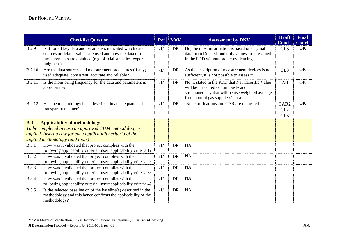|               | <b>Checklist Question</b>                                                                                                                                                                             | <b>Ref</b> | <b>MoV</b> | <b>Assessment by DNV</b>                                                                                                                                                        | <b>Draft</b><br>Concl.         | <b>Final</b><br>Concl. |
|---------------|-------------------------------------------------------------------------------------------------------------------------------------------------------------------------------------------------------|------------|------------|---------------------------------------------------------------------------------------------------------------------------------------------------------------------------------|--------------------------------|------------------------|
| <b>B.2.9</b>  | Is it for all key data and parameters indicated which data<br>sources or default values are used and how the data or the<br>measurements are obtained (e.g. official statistics, expert<br>judgment)? | /1/        | DR         | No, the most information is based on original<br>data from Donetsk and only values are presented<br>in the PDD without proper evidencing.                                       | CL3                            | OK                     |
| <b>B.2.10</b> | Are the data sources and measurement procedures (if any)<br>used adequate, consistent, accurate and reliable?                                                                                         | /1/        | DR         | As the description of measurement devices is not<br>sufficient, it is not possible to assess it.                                                                                | CL3                            | OK                     |
| B.2.11        | Is the monitoring frequency for the data and parameters is<br>appropriate?                                                                                                                            | /1/        | DR         | No, it stated in the PDD that Net Calorific Value<br>will be measured continuously and<br>simultaneously that will be use weighted average<br>from natural gas suppliers' data. | CAR <sub>2</sub>               | OK                     |
| B.2.12        | Has the methodology been described in an adequate and<br>transparent manner?                                                                                                                          | /1/        | DR         | No, clarifications and CAR are requested.                                                                                                                                       | CAR <sub>2</sub><br>CL2<br>CL3 | OK                     |
| B.3           | <b>Applicability of methodology</b><br>To be completed in case an approved CDM methodology is<br>applied. Insert a row for each applicability criteria of the<br>applied methodology (and tools)      |            |            |                                                                                                                                                                                 |                                |                        |
| B.3.1         | How was it validated that project complies with the<br>following applicability criteria: insert applicability criteria 1?                                                                             | /1/        | <b>DR</b>  | <b>NA</b>                                                                                                                                                                       |                                |                        |
| <b>B.3.2</b>  | How was it validated that project complies with the<br>following applicability criteria: insert applicability criteria 2?                                                                             | /1/        | <b>DR</b>  | <b>NA</b>                                                                                                                                                                       |                                |                        |
| <b>B.3.3</b>  | How was it validated that project complies with the<br>following applicability criteria: insert applicability criteria 3?                                                                             | /1/        | <b>DR</b>  | <b>NA</b>                                                                                                                                                                       |                                |                        |
| <b>B.3.4</b>  | How was it validated that project complies with the<br>following applicability criteria: insert applicability criteria 4?                                                                             | /1/        | <b>DR</b>  | <b>NA</b>                                                                                                                                                                       |                                |                        |
| <b>B.3.5</b>  | Is the selected baseline on of the baseline(s) described in the<br>methodology and this hence confirms the applicability of the<br>methodology?                                                       | /1/        | DR         | <b>NA</b>                                                                                                                                                                       |                                |                        |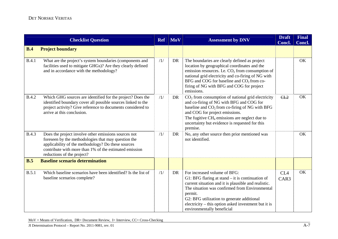|              | <b>Checklist Question</b>                                                                                                                                                                                                                                 | <b>Ref</b> | MoV       | <b>Assessment by DNV</b>                                                                                                                                                                                                                                                                                                                    | <b>Draft</b><br>Concl.  | <b>Final</b><br>Concl. |
|--------------|-----------------------------------------------------------------------------------------------------------------------------------------------------------------------------------------------------------------------------------------------------------|------------|-----------|---------------------------------------------------------------------------------------------------------------------------------------------------------------------------------------------------------------------------------------------------------------------------------------------------------------------------------------------|-------------------------|------------------------|
| B.4          | <b>Project boundary</b>                                                                                                                                                                                                                                   |            |           |                                                                                                                                                                                                                                                                                                                                             |                         |                        |
| B.4.1        | What are the project's system boundaries (components and<br>facilities used to mitigate GHGs)? Are they clearly defined<br>and in accordance with the methodology?                                                                                        | /1/        | DR        | The boundaries are clearly defined as project<br>location by geographical coordinates and the<br>emission resources. I.e. $CO2$ from consumption of<br>national grid electricity and co-firing of NG with<br>BFG and COG for baseline and $CO2$ from co-<br>firing of NG with BFG and COG for project<br>emissions.                         |                         | OK                     |
| <b>B.4.2</b> | Which GHG sources are identified for the project? Does the<br>identified boundary cover all possible sources linked to the<br>project activity? Give reference to documents considered to<br>arrive at this conclusion.                                   | /1/        | DR        | $CO2$ from consumption of national grid electricity<br>and co-firing of NG with BFG and COG for<br>baseline and $CO2$ from co-firing of NG with BFG<br>and COG for project emissions.<br>The fugitive $CH_4$ emissions are neglect due to<br>uncertainty but evidence is requested for this<br>premise.                                     | CL2                     | OK                     |
| <b>B.4.3</b> | Does the project involve other emissions sources not<br>foreseen by the methodologies that may question the<br>applicability of the methodology? Do these sources<br>contribute with more than 1% of the estimated emission<br>reductions of the project? | /1/        | <b>DR</b> | No, any other source then prior mentioned was<br>not identified.                                                                                                                                                                                                                                                                            |                         | OK                     |
| B.5          | <b>Baseline scenario determination</b>                                                                                                                                                                                                                    |            |           |                                                                                                                                                                                                                                                                                                                                             |                         |                        |
| B.5.1        | Which baseline scenarios have been identified? Is the list of<br>baseline scenarios complete?                                                                                                                                                             | /1/        | <b>DR</b> | For increased volume of BFG:<br>G1: BFG flaring at stand $-$ it is continuation of<br>current situation and it is plausible and realistic.<br>The situation was confirmed from Environmental<br>permit.<br>G2: BFG utilization to generate additional<br>electricity – this option asked investment but it is<br>environmentally beneficial | CL <sub>4</sub><br>CAR3 | OK                     |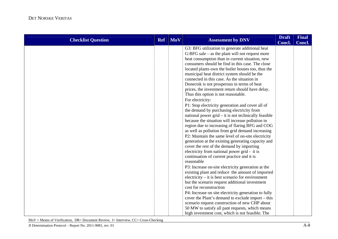| <b>Checklist Question</b> | <b>Ref</b> | <b>MoV</b> | <b>Assessment by DNV</b>                                                                        | <b>Draft</b><br>Concl. | <b>Final</b><br>Concl. |
|---------------------------|------------|------------|-------------------------------------------------------------------------------------------------|------------------------|------------------------|
|                           |            |            | G3: BFG utilization to generate additional heat                                                 |                        |                        |
|                           |            |            | $G:BFG$ sale – as the plant will not request more                                               |                        |                        |
|                           |            |            | heat consumption than in current situation, new                                                 |                        |                        |
|                           |            |            | consumers should be find in this case. The close                                                |                        |                        |
|                           |            |            | located plants own the boiler houses too, thus the                                              |                        |                        |
|                           |            |            | municipal heat district system should be the                                                    |                        |                        |
|                           |            |            | connected in this case. As the situation in                                                     |                        |                        |
|                           |            |            | Donectsk is not prosperous in terms of heat<br>prices, the investment return should have delay. |                        |                        |
|                           |            |            | Thus this option is not reasonable.                                                             |                        |                        |
|                           |            |            | For electricity:                                                                                |                        |                        |
|                           |            |            | P1: Stop electricity generation and cover all of                                                |                        |                        |
|                           |            |            | the demand by purchasing electricity from                                                       |                        |                        |
|                           |            |            | national power $grid - it$ is not technically feasible                                          |                        |                        |
|                           |            |            | because the situation will increase pollution in                                                |                        |                        |
|                           |            |            | region due to increasing of flaring BFG and COG                                                 |                        |                        |
|                           |            |            | as well as pollution from grid demand increasing                                                |                        |                        |
|                           |            |            | P2: Maintain the same level of on-site electricity                                              |                        |                        |
|                           |            |            | generation at the existing generating capacity and                                              |                        |                        |
|                           |            |            | cover the rest of the demand by importing                                                       |                        |                        |
|                           |            |            | electricity from national power grid - it is                                                    |                        |                        |
|                           |            |            | continuation of current practice and it is                                                      |                        |                        |
|                           |            |            | reasonable                                                                                      |                        |                        |
|                           |            |            | P3: Increase on-site electricity generation at the                                              |                        |                        |
|                           |            |            | existing plant and reduce the amount of imported                                                |                        |                        |
|                           |            |            | $electricity - it$ is best scenario for environment                                             |                        |                        |
|                           |            |            | but the scenario request additional investment                                                  |                        |                        |
|                           |            |            | cost for reconstruction                                                                         |                        |                        |
|                           |            |            | P4: Increase on site electricity generation to fully                                            |                        |                        |
|                           |            |            | cover the Plant's demand to exclude import – this                                               |                        |                        |
|                           |            |            | scenario request construction of new CHP about                                                  |                        |                        |
|                           |            |            | 50 MW to satisfy all pant requests, which means                                                 |                        |                        |
|                           |            |            | high investment cost, which is not feasible. The                                                |                        |                        |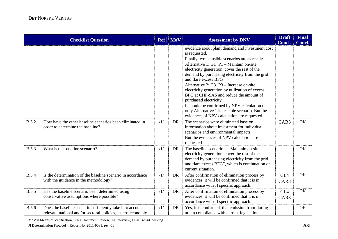|              | <b>Checklist Question</b>                                                                                               | <b>Ref</b> | <b>MoV</b> | <b>Assessment by DNV</b>                                                                                                                                                                                                                                                                                                                                                                                                                                                                                                                                                                                            | <b>Draft</b><br>Concl.  | <b>Final</b><br>Concl. |
|--------------|-------------------------------------------------------------------------------------------------------------------------|------------|------------|---------------------------------------------------------------------------------------------------------------------------------------------------------------------------------------------------------------------------------------------------------------------------------------------------------------------------------------------------------------------------------------------------------------------------------------------------------------------------------------------------------------------------------------------------------------------------------------------------------------------|-------------------------|------------------------|
|              |                                                                                                                         |            |            | evidence about plant demand and investment cost<br>is requested.<br>Finally two plausible scenarios are as result:<br>Alternative 1: $G1+P1$ – Maintain on-site<br>electricity generation, cover the rest of the<br>demand by purchasing electricity from the grid<br>and flare excess BFG<br>Alternative 2: $G3+P3$ – Increase on-site<br>electricity generation by utilization of excess<br>BFG at CHP-SAS and reduce the amount of<br>purchased electricity<br>It should be confirmed by NPV calculation that<br>only Alternative 1 is feasible scenario. But the<br>evidences of NPV calculation are requested. |                         |                        |
| B.5.2        | How have the other baseline scenarios been eliminated in<br>order to determine the baseline?                            | /1/        | <b>DR</b>  | The scenarios were eliminated base on<br>information about investment for individual<br>scenarios and environmental impacts.<br>But the evidences of NPV calculation are<br>requested.                                                                                                                                                                                                                                                                                                                                                                                                                              | CAR3                    | OK                     |
| <b>B.5.3</b> | What is the baseline scenario?                                                                                          | /1/        | <b>DR</b>  | The baseline scenario is "Maintain on-site"<br>electricity generation, cover the rest of the<br>demand by purchasing electricity from the grid<br>and flare excess BFG", which is continuation of<br>current situation.                                                                                                                                                                                                                                                                                                                                                                                             |                         | OK                     |
| <b>B.5.4</b> | Is the determination of the baseline scenario in accordance<br>with the guidance in the methodology?                    | /1/        | <b>DR</b>  | After confirmation of elimination process by<br>evidences, it will be confirmed that it is in<br>accordance with JI specific approach.                                                                                                                                                                                                                                                                                                                                                                                                                                                                              | CL <sub>4</sub><br>CAR3 | OK                     |
| <b>B.5.5</b> | Has the baseline scenario been determined using<br>conservative assumptions where possible?                             | /1/        | <b>DR</b>  | After confirmation of elimination process by<br>evidences, it will be confirmed that it is in<br>accordance with JI specific approach.                                                                                                                                                                                                                                                                                                                                                                                                                                                                              | CL <sub>4</sub><br>CAR3 | OK                     |
| <b>B.5.6</b> | Does the baseline scenario sufficiently take into account<br>relevant national and/or sectoral policies, macro-economic | /1/        | <b>DR</b>  | Yes, it is confirmed, that emission from flaring<br>are in compliance with current legislation.                                                                                                                                                                                                                                                                                                                                                                                                                                                                                                                     |                         | OK                     |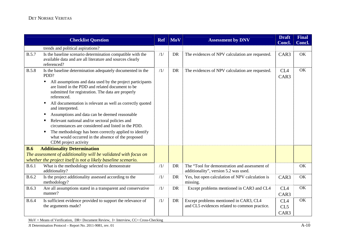|              | <b>Checklist Question</b>                                                                                                                                                                      | <b>Ref</b> | <b>MoV</b> | <b>Assessment by DNV</b>                                                               | <b>Draft</b><br>Concl.  | <b>Final</b><br>Concl. |
|--------------|------------------------------------------------------------------------------------------------------------------------------------------------------------------------------------------------|------------|------------|----------------------------------------------------------------------------------------|-------------------------|------------------------|
|              | trends and political aspirations?                                                                                                                                                              |            |            |                                                                                        |                         |                        |
| <b>B.5.7</b> | Is the baseline scenario determination compatible with the<br>available data and are all literature and sources clearly<br>referenced?                                                         | /1/        | <b>DR</b>  | The evidences of NPV calculation are requested.                                        | CAR3                    | OK                     |
| <b>B.5.8</b> | Is the baseline determination adequately documented in the<br>PDD?                                                                                                                             | /1/        | <b>DR</b>  | The evidences of NPV calculation are requested.                                        | CL <sub>4</sub><br>CAR3 | OK                     |
|              | All assumptions and data used by the project participants<br>$\bullet$<br>are listed in the PDD and related document to be<br>submitted for registration. The data are properly<br>referenced. |            |            |                                                                                        |                         |                        |
|              | All documentation is relevant as well as correctly quoted<br>$\bullet$<br>and interpreted.                                                                                                     |            |            |                                                                                        |                         |                        |
|              | Assumptions and data can be deemed reasonable                                                                                                                                                  |            |            |                                                                                        |                         |                        |
|              | Relevant national and/or sectoral policies and<br>$\bullet$<br>circumstances are considered and listed in the PDD.                                                                             |            |            |                                                                                        |                         |                        |
|              | The methodology has been correctly applied to identify<br>what would occurred in the absence of the proposed<br>CDM project activity                                                           |            |            |                                                                                        |                         |                        |
| <b>B.6</b>   | <b>Additionality Determination</b>                                                                                                                                                             |            |            |                                                                                        |                         |                        |
|              | The assessment of additionality will be validated with focus on<br>whether the project itself is not a likely baseline scenario.                                                               |            |            |                                                                                        |                         |                        |
| B.6.1        | What is the methodology selected to demonstrate<br>additionality?                                                                                                                              | /1/        | DR.        | The "Tool for demonstration and assessment of<br>additionality", version 5.2 was used. |                         | OK                     |
| <b>B.6.2</b> | Is the project additionality assessed according to the<br>methodology?                                                                                                                         | /1/        | <b>DR</b>  | Yes, but open calculation of NPV calculation is<br>missing.                            | CAR3                    | OK                     |
| <b>B.6.3</b> | Are all assumptions stated in a transparent and conservative<br>manner?                                                                                                                        | /1/        | DR         | Except problems mentioned in CAR3 and CL4                                              | CL <sub>4</sub><br>CAR3 | OK                     |
| <b>B.6.4</b> | Is sufficient evidence provided to support the relevance of                                                                                                                                    | /1/        | DR         | Except problems mentioned in CAR3, CL4                                                 | CL <sub>4</sub>         | OK                     |
|              | the arguments made?                                                                                                                                                                            |            |            | and CL5 evidences related to common practice.                                          | CL5                     |                        |
|              |                                                                                                                                                                                                |            |            |                                                                                        | CAR3                    |                        |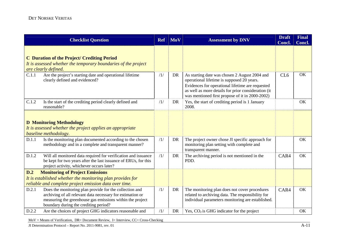|       | <b>Checklist Question</b>                                                                                                                                                                                                   | <b>Ref</b> | <b>MoV</b> | <b>Assessment by DNV</b>                                                                                                                                                                                                                                  | <b>Draft</b><br>Concl. | <b>Final</b><br>Concl. |
|-------|-----------------------------------------------------------------------------------------------------------------------------------------------------------------------------------------------------------------------------|------------|------------|-----------------------------------------------------------------------------------------------------------------------------------------------------------------------------------------------------------------------------------------------------------|------------------------|------------------------|
|       | <b>C</b> Duration of the Project/ Crediting Period<br>It is assessed whether the temporary boundaries of the project<br>are clearly defined.                                                                                |            |            |                                                                                                                                                                                                                                                           |                        |                        |
| C.1.1 | Are the project's starting date and operational lifetime<br>clearly defined and evidenced?                                                                                                                                  | /1/        | <b>DR</b>  | As starting date was chosen 2 August 2004 and<br>operational lifetime is supposed 20 years.<br>Evidences for operational lifetime are requested<br>as well as more details for prior consideration (it<br>was mentioned first propose of it in 2000-2002) | CL <sub>6</sub>        | OK                     |
| C.1.2 | Is the start of the crediting period clearly defined and<br>reasonable?                                                                                                                                                     | /1/        | DR         | Yes, the start of crediting period is 1 January<br>2008.                                                                                                                                                                                                  |                        | OK                     |
|       | <b>D</b> Monitoring Methodology<br>It is assessed whether the project applies an appropriate<br>baseline methodology.                                                                                                       |            |            |                                                                                                                                                                                                                                                           |                        |                        |
| D.1.1 | Is the monitoring plan documented according to the chosen<br>methodology and in a complete and transparent manner?                                                                                                          | /1/        | DR         | The project owner chose JI specific approach for<br>monitoring plan setting with complete and<br>transparent manner.                                                                                                                                      |                        | OK                     |
| D.1.2 | Will all monitored data required for verification and issuance<br>be kept for two years after the last issuance of ERUs, for this<br>project activity, whichever occurs later?                                              | /1/        | <b>DR</b>  | The archiving period is not mentioned in the<br>PDD.                                                                                                                                                                                                      | CAR4                   | OK                     |
| D.2   | <b>Monitoring of Project Emissions</b>                                                                                                                                                                                      |            |            |                                                                                                                                                                                                                                                           |                        |                        |
|       | It is established whether the monitoring plan provides for<br>reliable and complete project emission data over time.                                                                                                        |            |            |                                                                                                                                                                                                                                                           |                        |                        |
| D.2.1 | Does the monitoring plan provide for the collection and<br>archiving of all relevant data necessary for estimation or<br>measuring the greenhouse gas emissions within the project<br>boundary during the crediting period? | /1/        | DR         | The monitoring plan does not cover procedures<br>related to archiving data. The responsibility for<br>individual parameters monitoring are established.                                                                                                   | CAR4                   | OK                     |
| D.2.2 | Are the choices of project GHG indicators reasonable and                                                                                                                                                                    | /1/        | DR         | Yes, $CO2$ is GHG indicator for the project                                                                                                                                                                                                               |                        | OK                     |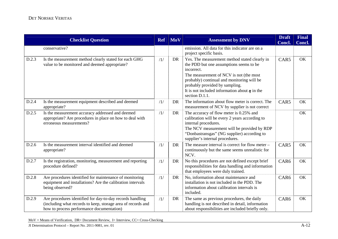|       | <b>Checklist Question</b>                                                                                                                                              | <b>Ref</b> | <b>MoV</b> | <b>Assessment by DNV</b>                                                                                                                                                                                                                                                                                  | <b>Draft</b><br>Concl. | <b>Final</b><br>Concl. |
|-------|------------------------------------------------------------------------------------------------------------------------------------------------------------------------|------------|------------|-----------------------------------------------------------------------------------------------------------------------------------------------------------------------------------------------------------------------------------------------------------------------------------------------------------|------------------------|------------------------|
|       | conservative?                                                                                                                                                          |            |            | emission. All data for this indicator are on a<br>project specific basis.                                                                                                                                                                                                                                 |                        |                        |
| D.2.3 | Is the measurement method clearly stated for each GHG<br>value to be monitored and deemed appropriate?                                                                 | /1/        | DR         | Yes. The measurement method stated clearly in<br>the PDD but one assumptions seems to be<br>incorrect.<br>The measurement of NCV is not (the most<br>probably) continual and monitoring will be<br>probably provided by sampling.<br>It is not included information about $\eta$ in the<br>section D.1.1. | CAR5                   | OK                     |
| D.2.4 | Is the measurement equipment described and deemed<br>appropriate?                                                                                                      | /1/        | <b>DR</b>  | The information about flow meter is correct. The<br>measurement of NCV by supplier is not correct                                                                                                                                                                                                         | CAR5                   | OK                     |
| D.2.5 | Is the measurement accuracy addressed and deemed<br>appropriate? Are procedures in place on how to deal with<br>erroneous measurements?                                | /1/        | DR         | The accuracy of flow meter is 0.25% and<br>calibration will be every 2 years according to<br>internal procedures.<br>The NCV measurement will be provided by RDP<br>"Donbastransgas" (NG supplier) according to<br>supplier's internal procedures.                                                        |                        | OK                     |
| D.2.6 | Is the measurement interval identified and deemed<br>appropriate?                                                                                                      | /1/        | <b>DR</b>  | The measure interval is correct for flow meter $-$<br>continuously but the same seems unrealistic for<br>NCV.                                                                                                                                                                                             | CAR5                   | OK                     |
| D.2.7 | Is the registration, monitoring, measurement and reporting<br>procedure defined?                                                                                       | /1/        | <b>DR</b>  | No this procedures are not defined except brief<br>responsibilities for data handling and information<br>that employees were duly trained.                                                                                                                                                                | CAR6                   | OK                     |
| D.2.8 | Are procedures identified for maintenance of monitoring<br>equipment and installations? Are the calibration intervals<br>being observed?                               | /1/        | DR         | No, information about maintenance and<br>installation is not included in the PDD. The<br>information about calibration intervals is<br>included.                                                                                                                                                          | CAR6                   | OK                     |
| D.2.9 | Are procedures identified for day-to-day records handling<br>(including what records to keep, storage area of records and<br>how to process performance documentation) | /1/        | DR         | The same as previous procedures, the daily<br>handling is not described in detail, information<br>about responsibilities are included briefly only.                                                                                                                                                       | CAR <sub>6</sub>       | OK                     |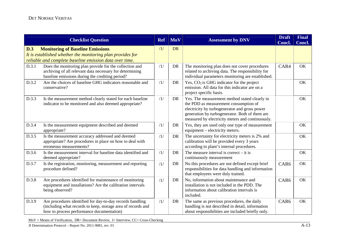|       | <b>Checklist Question</b>                                                                                                                                              | <b>Ref</b> | <b>MoV</b> | <b>Assessment by DNV</b>                                                                                                                                                                                                                      | <b>Draft</b><br>Concl. | <b>Final</b><br>Concl. |
|-------|------------------------------------------------------------------------------------------------------------------------------------------------------------------------|------------|------------|-----------------------------------------------------------------------------------------------------------------------------------------------------------------------------------------------------------------------------------------------|------------------------|------------------------|
| D.3   | <b>Monitoring of Baseline Emissions</b><br>It is established whether the monitoring plan provides for<br>reliable and complete baseline emission data over time.       | /1/        | <b>DR</b>  |                                                                                                                                                                                                                                               |                        |                        |
| D.3.1 | Does the monitoring plan provide for the collection and<br>archiving of all relevant data necessary for determining<br>baseline emissions during the crediting period? | /1/        | <b>DR</b>  | The monitoring plan does not cover procedures<br>related to archiving data. The responsibility for<br>individual parameters monitoring are established.                                                                                       | CAR4                   | OK                     |
| D.3.2 | Are the choices of baseline GHG indicators reasonable and<br>conservative?                                                                                             | /1/        | <b>DR</b>  | Yes, $CO2$ is GHG indicator for the project<br>emission. All data for this indicator are on a<br>project specific basis.                                                                                                                      |                        | OK                     |
| D.3.3 | Is the measurement method clearly stated for each baseline<br>indicator to be monitored and also deemed appropriate?                                                   | /1/        | <b>DR</b>  | Yes. The measurement method stated clearly in<br>the PDD as measurement consumption of<br>electricity by turbogenerator and gross power<br>generation by turbogenerator. Both of them are<br>measured by electricity meters and continuously. |                        | OK                     |
| D.3.4 | Is the measurement equipment described and deemed<br>appropriate?                                                                                                      | /1/        | <b>DR</b>  | Yes, they are used only one type of measurement<br>equipment – electricity meters.                                                                                                                                                            |                        | OK                     |
| D.3.5 | Is the measurement accuracy addressed and deemed<br>appropriate? Are procedures in place on how to deal with<br>erroneous measurements?                                | /1/        | DR         | The uncertainty for electricity meters is 2% and<br>calibration will be provided every 3 years<br>according to plant's internal procedures.                                                                                                   |                        | OK                     |
| D.3.6 | Is the measurement interval for baseline data identified and<br>deemed appropriate?                                                                                    | /1/        | <b>DR</b>  | The measure interval is correct $-$ it is<br>continuously measurement                                                                                                                                                                         |                        | OK                     |
| D.3.7 | Is the registration, monitoring, measurement and reporting<br>procedure defined?                                                                                       | /1/        | DR         | No this procedures are not defined except brief<br>responsibilities for data handling and information<br>that employees were duly trained.                                                                                                    | CAR6                   | OK                     |
| D.3.8 | Are procedures identified for maintenance of monitoring<br>equipment and installations? Are the calibration intervals<br>being observed?                               | /1/        | DR         | No, information about maintenance and<br>installation is not included in the PDD. The<br>information about calibration intervals is<br>included.                                                                                              | CAR6                   | OK                     |
| D.3.9 | Are procedures identified for day-to-day records handling<br>(including what records to keep, storage area of records and<br>how to process performance documentation) | /1/        | DR         | The same as previous procedures, the daily<br>handling is not described in detail, information<br>about responsibilities are included briefly only.                                                                                           | CAR <sub>6</sub>       | OK                     |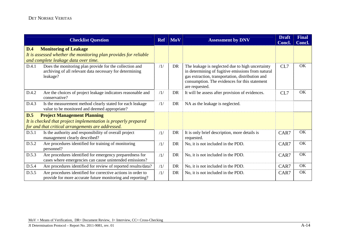|       | <b>Checklist Question</b>                                                                                                                | <b>Ref</b>                   | <b>MoV</b> | <b>Assessment by DNV</b>                                                                                                                                                                                                     | <b>Draft</b><br>Concl. | <b>Final</b><br>Concl. |
|-------|------------------------------------------------------------------------------------------------------------------------------------------|------------------------------|------------|------------------------------------------------------------------------------------------------------------------------------------------------------------------------------------------------------------------------------|------------------------|------------------------|
| D.4   | <b>Monitoring of Leakage</b><br>It is assessed whether the monitoring plan provides for reliable<br>and complete leakage data over time. |                              |            |                                                                                                                                                                                                                              |                        |                        |
| D.4.1 | Does the monitoring plan provide for the collection and<br>archiving of all relevant data necessary for determining<br>leakage?          | /1/                          | DR         | The leakage is neglected due to high uncertainty<br>in determining of fugitive emissions from natural<br>gas extraction, transportation, distribution and<br>consumption. The evidences for this statement<br>are requested. | CL7                    | OK                     |
| D.4.2 | Are the choices of project leakage indicators reasonable and<br>conservative?                                                            | /1/                          | DR         | It will be assess after provision of evidences.                                                                                                                                                                              | CL7                    | OK                     |
| D.4.3 | Is the measurement method clearly stated for each leakage<br>value to be monitored and deemed appropriate?                               | /1/                          | DR         | NA as the leakage is neglected.                                                                                                                                                                                              |                        |                        |
| D.5   | <b>Project Management Planning</b>                                                                                                       |                              |            |                                                                                                                                                                                                                              |                        |                        |
|       | It is checked that project implementation is properly prepared                                                                           |                              |            |                                                                                                                                                                                                                              |                        |                        |
|       | for and that critical arrangements are addressed.                                                                                        |                              |            |                                                                                                                                                                                                                              |                        |                        |
| D.5.1 | Is the authority and responsibility of overall project<br>management clearly described?                                                  | /1/                          | <b>DR</b>  | It is only brief description, more details is<br>requested.                                                                                                                                                                  | CAR7                   | OK                     |
| D.5.2 | Are procedures identified for training of monitoring<br>personnel?                                                                       | $\left  \frac{1}{2} \right $ | <b>DR</b>  | No, it is not included in the PDD.                                                                                                                                                                                           | CAR7                   | OK                     |
| D.5.3 | Are procedures identified for emergency preparedness for<br>cases where emergencies can cause unintended emissions?                      | /1/                          | DR         | No, it is not included in the PDD.                                                                                                                                                                                           | CAR7                   | OK                     |
| D.5.4 | Are procedures identified for review of reported results/data?                                                                           | /1/                          | DR         | No, it is not included in the PDD.                                                                                                                                                                                           | CAR7                   | OK                     |
| D.5.5 | Are procedures identified for corrective actions in order to<br>provide for more accurate future monitoring and reporting?               | /1/                          | DR         | No, it is not included in the PDD.                                                                                                                                                                                           | CAR7                   | OK                     |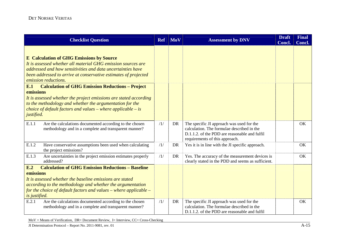| <b>Checklist Question</b>                                                                                                                                                                                                                                                                                                                                                                                                                                                                                                                                               | <b>Ref</b> | <b>MoV</b> | <b>Assessment by DNV</b>                                                                                                                                                   | <b>Draft</b><br><b>Concl.</b> | <b>Final</b><br>Concl. |
|-------------------------------------------------------------------------------------------------------------------------------------------------------------------------------------------------------------------------------------------------------------------------------------------------------------------------------------------------------------------------------------------------------------------------------------------------------------------------------------------------------------------------------------------------------------------------|------------|------------|----------------------------------------------------------------------------------------------------------------------------------------------------------------------------|-------------------------------|------------------------|
| <b>E</b> Calculation of GHG Emissions by Source<br>It is assessed whether all material GHG emission sources are<br>addressed and how sensitivities and data uncertainties have<br>been addressed to arrive at conservative estimates of projected<br>emission reductions.<br><b>Calculation of GHG Emission Reductions - Project</b><br>E.1<br>emissions<br>It is assessed whether the project emissions are stated according<br>to the methodology and whether the argumentation for the<br>choice of default factors and values – where applicable – is<br>justified. |            |            |                                                                                                                                                                            |                               |                        |
| E.1.1<br>Are the calculations documented according to the chosen<br>methodology and in a complete and transparent manner?                                                                                                                                                                                                                                                                                                                                                                                                                                               | /1/        | DR         | The specific JI approach was used for the<br>calculation. The formulae described in the<br>D.1.1.2. of the PDD are reasonable and fulfil<br>requirements of this approach. |                               | OK                     |
| E.1.2<br>Have conservative assumptions been used when calculating<br>the project emissions?                                                                                                                                                                                                                                                                                                                                                                                                                                                                             | /1/        | <b>DR</b>  | Yes it is in line with the JI specific approach.                                                                                                                           |                               | OK                     |
| E.1.3<br>Are uncertainties in the project emission estimates properly<br>addressed?                                                                                                                                                                                                                                                                                                                                                                                                                                                                                     | /1/        | <b>DR</b>  | Yes. The accuracy of the measurement devices is<br>clearly stated in the PDD and seems as sufficient.                                                                      |                               | OK                     |
| <b>Calculation of GHG Emission Reductions - Baseline</b><br>E.2<br>emissions<br>It is assessed whether the baseline emissions are stated<br>according to the methodology and whether the argumentation<br>for the choice of default factors and values – where applicable –<br>is justified.                                                                                                                                                                                                                                                                            |            |            |                                                                                                                                                                            |                               |                        |
| E.2.1<br>Are the calculations documented according to the chosen<br>methodology and in a complete and transparent manner?                                                                                                                                                                                                                                                                                                                                                                                                                                               | /1/        | DR         | The specific JI approach was used for the<br>calculation. The formulae described in the<br>D.1.1.2. of the PDD are reasonable and fulfil                                   |                               | OK                     |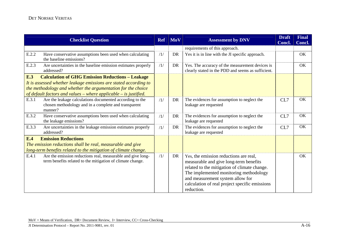|            | <b>Checklist Question</b>                                                                                                   | <b>Ref</b> | <b>MoV</b> | <b>Assessment by DNV</b>                                                                                                                                                                                                                                                       |     | <b>Final</b><br>Concl. |
|------------|-----------------------------------------------------------------------------------------------------------------------------|------------|------------|--------------------------------------------------------------------------------------------------------------------------------------------------------------------------------------------------------------------------------------------------------------------------------|-----|------------------------|
|            |                                                                                                                             |            |            | requirements of this approach.                                                                                                                                                                                                                                                 |     |                        |
| E.2.2      | Have conservative assumptions been used when calculating<br>the baseline emissions?                                         | /1/        | <b>DR</b>  | Yes it is in line with the JI specific approach.                                                                                                                                                                                                                               |     | OK                     |
| E.2.3      | Are uncertainties in the baseline emission estimates properly<br>addressed?                                                 | /1/        | <b>DR</b>  | Yes. The accuracy of the measurement devices is<br>clearly stated in the PDD and seems as sufficient.                                                                                                                                                                          |     | OK                     |
| <b>E.3</b> | <b>Calculation of GHG Emission Reductions - Leakage</b>                                                                     |            |            |                                                                                                                                                                                                                                                                                |     |                        |
|            | It is assessed whether leakage emissions are stated according to                                                            |            |            |                                                                                                                                                                                                                                                                                |     |                        |
|            | the methodology and whether the argumentation for the choice                                                                |            |            |                                                                                                                                                                                                                                                                                |     |                        |
|            | of default factors and values – where applicable – is justified.                                                            |            |            |                                                                                                                                                                                                                                                                                |     |                        |
| E.3.1      | Are the leakage calculations documented according to the<br>chosen methodology and in a complete and transparent<br>manner? | /1/        | <b>DR</b>  | The evidences for assumption to neglect the<br>leakage are requested                                                                                                                                                                                                           | CL7 | OK                     |
| E.3.2      | Have conservative assumptions been used when calculating<br>the leakage emissions?                                          | /1/        | <b>DR</b>  | The evidences for assumption to neglect the<br>leakage are requested                                                                                                                                                                                                           | CL7 | OK                     |
| E.3.3      | Are uncertainties in the leakage emission estimates properly<br>addressed?                                                  | /1/        | <b>DR</b>  | The evidences for assumption to neglect the<br>leakage are requested                                                                                                                                                                                                           | CL7 | OK                     |
| <b>E.4</b> | <b>Emission Reductions</b>                                                                                                  |            |            |                                                                                                                                                                                                                                                                                |     |                        |
|            | The emission reductions shall be real, measurable and give                                                                  |            |            |                                                                                                                                                                                                                                                                                |     |                        |
|            | long-term benefits related to the mitigation of climate change.                                                             |            |            |                                                                                                                                                                                                                                                                                |     |                        |
| E.4.1      | Are the emission reductions real, measurable and give long-<br>term benefits related to the mitigation of climate change.   | /1/        | DR         | Yes, the emission reductions are real,<br>measurable and give long-term benefits<br>related to the mitigation of climate change.<br>The implemented monitoring methodology<br>and measurement system allow for<br>calculation of real project specific emissions<br>reduction. |     | OK                     |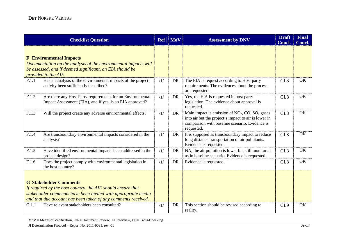|       | <b>Checklist Question</b>                                                                                                                                                                                                                                                    | <b>MoV</b><br><b>Assessment by DNV</b><br><b>Ref</b> |           | <b>Draft</b><br>Concl.                                                                                                                                                                         | <b>Final</b><br>Concl. |    |
|-------|------------------------------------------------------------------------------------------------------------------------------------------------------------------------------------------------------------------------------------------------------------------------------|------------------------------------------------------|-----------|------------------------------------------------------------------------------------------------------------------------------------------------------------------------------------------------|------------------------|----|
|       | <b>F</b> Environmental Impacts<br>Documentation on the analysis of the environmental impacts will<br>be assessed, and if deemed significant, an EIA should be<br>provided to the AIE.                                                                                        |                                                      |           |                                                                                                                                                                                                |                        |    |
| F.1.1 | Has an analysis of the environmental impacts of the project<br>activity been sufficiently described?                                                                                                                                                                         | /1/                                                  | <b>DR</b> | The EIA is request according to Host party<br>requirements. The evidences about the process<br>are requested.                                                                                  | CL <sub>8</sub>        | OK |
| F.1.2 | Are there any Host Party requirements for an Environmental<br>Impact Assessment (EIA), and if yes, is an EIA approved?                                                                                                                                                       | /1/                                                  | DR        | Yes, the EIA is requested in host party<br>legislation. The evidence about approval is<br>requested.                                                                                           | CL <sub>8</sub>        | OK |
| F.1.3 | Will the project create any adverse environmental effects?                                                                                                                                                                                                                   | /1/                                                  | DR        | Main impact is emission of NO <sub>2</sub> , CO, SO <sub>2</sub> gases<br>into air but the project's impact to air is lower in<br>comparison with baseline scenario. Evidence is<br>requested. | CL <sub>8</sub>        | OK |
| F.1.4 | Are transboundary environmental impacts considered in the<br>analysis?                                                                                                                                                                                                       | /1/                                                  | <b>DR</b> | It is supposed as transboundary impact to reduce<br>long distance transportation of air pollutants.<br>Evidence is requested.                                                                  | CL <sub>8</sub>        | OK |
| F.1.5 | Have identified environmental impacts been addressed in the<br>project design?                                                                                                                                                                                               | /1/                                                  | DR        | NA, the air pollution is lower but still monitored<br>as in baseline scenario. Evidence is requested.                                                                                          | CL <sub>8</sub>        | OK |
| F.1.6 | Does the project comply with environmental legislation in<br>the host country?                                                                                                                                                                                               | /1/                                                  | <b>DR</b> | Evidence is requested.                                                                                                                                                                         | CL <sub>8</sub>        | OK |
|       | <b>G Stakeholder Comments</b><br>If required by the host country, the AIE should ensure that<br>stakeholder comments have been invited with appropriate media<br>and that due account has been taken of any comments received.<br>Have relevant stakeholders been consulted? |                                                      |           |                                                                                                                                                                                                |                        |    |
| G.1.1 |                                                                                                                                                                                                                                                                              | /1/                                                  | DR        | This section should be revised according to<br>reality.                                                                                                                                        | CL9                    | OK |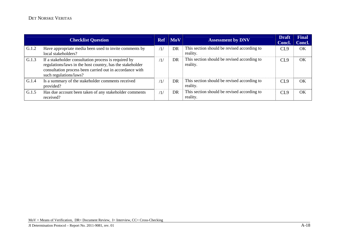|       | <b>Checklist Question</b>                                                                                                                                                                               |     | $\overline{\text{Ref}}$ $\overline{\text{MoV}}$ | <b>Assessment by DNV</b>                                | <b>Draft</b><br>Concl. | <b>Final</b><br>Concl. |
|-------|---------------------------------------------------------------------------------------------------------------------------------------------------------------------------------------------------------|-----|-------------------------------------------------|---------------------------------------------------------|------------------------|------------------------|
| G.1.2 | Have appropriate media been used to invite comments by<br>local stakeholders?                                                                                                                           | /1/ | DR                                              | This section should be revised according to<br>reality. | CL9                    | OK                     |
| G.1.3 | If a stakeholder consultation process is required by<br>regulations/laws in the host country, has the stakeholder<br>consultation process been carried out in accordance with<br>such regulations/laws? | /1/ | DR                                              | This section should be revised according to<br>reality. | CL <sub>9</sub>        | OК                     |
| G.1.4 | Is a summary of the stakeholder comments received<br>provided?                                                                                                                                          | /1/ | DR                                              | This section should be revised according to<br>reality. | CL <sub>9</sub>        | OК                     |
| G.1.5 | Has due account been taken of any stakeholder comments<br>received?                                                                                                                                     | /1/ | <b>DR</b>                                       | This section should be revised according to<br>reality. | CL <sub>9</sub>        | $\alpha$               |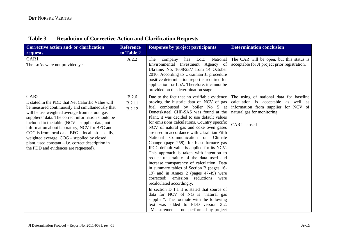| <b>Table 3</b> | <b>Resolution of Corrective Action and Clarification Requests</b> |
|----------------|-------------------------------------------------------------------|
|----------------|-------------------------------------------------------------------|

| Corrective action and/ or clarification<br>requests                                                                                                                                                                                                                                                                                                                                                                                                                                                                                            | <b>Reference</b><br>to Table 2 | <b>Response by project participants</b>                                                                                                                                                                                                                                                                                                                                                                                                                                                                                                                                                                                                                                                                                                                                                                                                                                                                                                                                                                               | <b>Determination conclusion</b>                                                                                                                                         |
|------------------------------------------------------------------------------------------------------------------------------------------------------------------------------------------------------------------------------------------------------------------------------------------------------------------------------------------------------------------------------------------------------------------------------------------------------------------------------------------------------------------------------------------------|--------------------------------|-----------------------------------------------------------------------------------------------------------------------------------------------------------------------------------------------------------------------------------------------------------------------------------------------------------------------------------------------------------------------------------------------------------------------------------------------------------------------------------------------------------------------------------------------------------------------------------------------------------------------------------------------------------------------------------------------------------------------------------------------------------------------------------------------------------------------------------------------------------------------------------------------------------------------------------------------------------------------------------------------------------------------|-------------------------------------------------------------------------------------------------------------------------------------------------------------------------|
| CAR1<br>The LoAs were not provided yet.                                                                                                                                                                                                                                                                                                                                                                                                                                                                                                        | A.2.2                          | The<br>LoE:<br>National<br>company<br>has<br>Environmental Investment Agency of<br>Ukraine: No. 1608/23/7 from 14 October<br>2010. According to Ukrainian JI procedure<br>positive determination report is required for<br>application for LoA. Therefore, it cannot be<br>provided on the determination stage.                                                                                                                                                                                                                                                                                                                                                                                                                                                                                                                                                                                                                                                                                                       | The CAR will be open, but this status is<br>acceptable for JI project prior registration.                                                                               |
| CAR <sub>2</sub><br>It stated in the PDD that Net Calorific Value will<br>be measured continuously and simultaneously that<br>will be use weighted average from natural gas<br>suppliers' data. The correct information should be<br>included to the table. $(NCV -$ supplier data, not<br>information about laboratory; NCV for BFG and<br>COG is from local data, $BFG$ – local lab. – daily,<br>weighted average; COG – supplied by closed<br>plant, used constant $-$ i.e. correct description in<br>the PDD and evidences are requested). | B.2.6<br>B.2.11<br>B.2.12      | Due to the fact that no verifiable evidence<br>proving the historic data on NCV of gas<br>fuel combusted by boiler No 5 at<br>Donetsksteel CHP-SAS was found at the<br>Plant, it was decided to use default values<br>for emissions calculations. Country specific<br>NCV of natural gas and coke oven gases<br>are used in accordance with Ukrainian Fifth<br>National Communication on Climate<br>Change (page 258); for blast furnace gas<br>IPCC default value is applied for its NCV.<br>This approach is taken with intention to<br>reduce uncertainty of the data used and<br>increase transparency of calculation. Data<br>in summary tables of Section B (pages 16-<br>19) and in Annex 2 (pages 47-49) were<br>emission reductions<br>corrected:<br>were<br>recalculated accordingly.<br>In section D 1.1 it is stated that source of<br>data for NCV of NG is "natural gas<br>supplier". The footnote with the following<br>text was added to PDD version 3.2:<br>"Measurement is not performed by project | The using of national data for baseline<br>calculation is acceptable as well as<br>information from supplier for NCV of<br>natural gas for monitoring.<br>CAR is closed |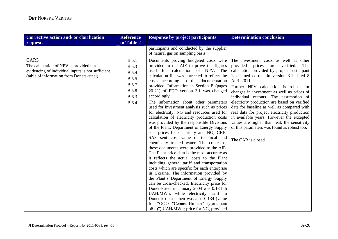| Corrective action and/ or clarification                                                                                                         | <b>Reference</b>                                                                                        | <b>Response by project participants</b>                                                                                                                                                                                                                                                                                                                                                                                                                                                                                                                                                                                                                                                                                                                                                                                                                                                                                                                                                                                                                                                                                                                                                                                                                                                                                              | <b>Determination conclusion</b>                                                                                                                                                                                                                                                                                                                                                                                                                                                                                                                                                                                                                |
|-------------------------------------------------------------------------------------------------------------------------------------------------|---------------------------------------------------------------------------------------------------------|--------------------------------------------------------------------------------------------------------------------------------------------------------------------------------------------------------------------------------------------------------------------------------------------------------------------------------------------------------------------------------------------------------------------------------------------------------------------------------------------------------------------------------------------------------------------------------------------------------------------------------------------------------------------------------------------------------------------------------------------------------------------------------------------------------------------------------------------------------------------------------------------------------------------------------------------------------------------------------------------------------------------------------------------------------------------------------------------------------------------------------------------------------------------------------------------------------------------------------------------------------------------------------------------------------------------------------------|------------------------------------------------------------------------------------------------------------------------------------------------------------------------------------------------------------------------------------------------------------------------------------------------------------------------------------------------------------------------------------------------------------------------------------------------------------------------------------------------------------------------------------------------------------------------------------------------------------------------------------------------|
| requests                                                                                                                                        | to Table 2                                                                                              |                                                                                                                                                                                                                                                                                                                                                                                                                                                                                                                                                                                                                                                                                                                                                                                                                                                                                                                                                                                                                                                                                                                                                                                                                                                                                                                                      |                                                                                                                                                                                                                                                                                                                                                                                                                                                                                                                                                                                                                                                |
|                                                                                                                                                 |                                                                                                         | participants and conducted by the supplier<br>of natural gas on sampling basis"                                                                                                                                                                                                                                                                                                                                                                                                                                                                                                                                                                                                                                                                                                                                                                                                                                                                                                                                                                                                                                                                                                                                                                                                                                                      |                                                                                                                                                                                                                                                                                                                                                                                                                                                                                                                                                                                                                                                |
| CAR3<br>The calculation of NPV is provided but<br>evidencing of individual inputs is not sufficient<br>(table of information from Donetsksteel) | B.5.1<br>B.5.3<br><b>B.5.4</b><br><b>B.5.5</b><br><b>B.5.7</b><br><b>B.5.8</b><br>B.6.3<br><b>B.6.4</b> | Documents proving budgeted costs were<br>provided to the AIE to prove the figures<br>used for calculation of NPV. The<br>calculation file was corrected to reflect the<br>costs according to the documentation<br>provided. Information in Section B (pages<br>20-21) of PDD version 3.1 was changed<br>accordingly.<br>The information about other parameters<br>used for investment analysis such as prices<br>for electricity, NG and resources used for<br>calculation of electricity production costs<br>was provided by the responsible Divisions<br>of the Plant: Department of Energy Supply<br>sent prices for electricity and NG; CHP-<br>SAS sent cost value of technical and<br>chemically treated water. The copies of<br>these documents were provided to the AIE.<br>The Plant price data is the most accurate as<br>it reflects the actual costs to the Plant<br>including general tariff and transportation<br>costs which are specific for each enterprise<br>in Ukraine. The information provided by<br>the Plant's Department of Energy Supply<br>can be cross-checked. Electricity price for<br>Donetsksteel in January 2004 was 0.134 th<br>UAH/MWh, while electricity tariff in<br>Donetsk oblast then was also 0.134 (value<br>for "ООО "Сервис-Инвест" (Донецкая<br>обл.)") UAH/MWh; price for NG, provided | The investment costs as well as other<br>provided<br>prices<br>verified.<br>are<br>The<br>calculation provided by project participant<br>is deemed correct in version 3.1 dated 8<br>April 2011.<br>Further NPV calculation is robust for<br>changes in investment as well as prices of<br>individual outputs. The assumption of<br>electricity production are based on verified<br>data for baseline as well as compared with<br>real data for project electricity production<br>in available years. However the excepted<br>values are higher than real, the sensitivity<br>of this parameters was found as robust too.<br>The CAR is closed |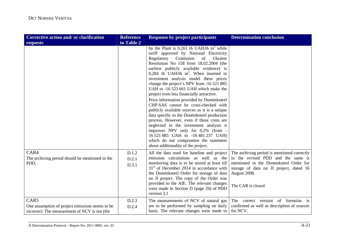| Corrective action and/ or clarification                                                                  | <b>Reference</b>        | <b>Response by project participants</b>                                                                                                                                                                                                                                                                                                                                                                                                                                                                                                                                                                                                                                                                                                                                                                                                                                                      | <b>Determination conclusion</b>                                                                                                                                                                              |
|----------------------------------------------------------------------------------------------------------|-------------------------|----------------------------------------------------------------------------------------------------------------------------------------------------------------------------------------------------------------------------------------------------------------------------------------------------------------------------------------------------------------------------------------------------------------------------------------------------------------------------------------------------------------------------------------------------------------------------------------------------------------------------------------------------------------------------------------------------------------------------------------------------------------------------------------------------------------------------------------------------------------------------------------------|--------------------------------------------------------------------------------------------------------------------------------------------------------------------------------------------------------------|
| requests                                                                                                 | to Table 2              |                                                                                                                                                                                                                                                                                                                                                                                                                                                                                                                                                                                                                                                                                                                                                                                                                                                                                              |                                                                                                                                                                                                              |
|                                                                                                          |                         | by the Plant is $0,261$ th UAH/th $m3$ while<br>tariff approved by National Electricity<br>Regulatory<br>Comission<br>of<br>Ukraine<br>Resolution No 158 from 18.02.2004 (the<br>earliest publicly available evidence) is<br>0,284 th UAH/th $m^3$ . When inserted to<br>investment analysis model these prices<br>change the project's NPV from -16 521 885<br>UAH to -16 523 661 UAH which make the<br>project even less financially attractive.<br>Price information provided by Donetsksteel<br>CHP-SAS cannot be cross-checked with<br>publicly available sources as it is a unique<br>data specific to the Donetsksteel production<br>process. However, even if these costs are<br>neglected in the investment analysis it<br>improves NPV only for 0,2% (from -<br>16 521 885 UAH to -16 481 237 UAH)<br>which do not compromise the statement<br>about additionality of the project. |                                                                                                                                                                                                              |
| CAR4<br>The archiving period should be mentioned in the<br>PDD.                                          | D.1.2<br>D.2.1<br>D.3.1 | All the data used for baseline and project<br>emission calculations as well as the<br>monitoring data is to be stored at least till<br>$31st$ of December 2014 in accordance with<br>the Donetsksteel Order for storage of data<br>on JI project. The copy of the Order was<br>provided to the AIE. The relevant changes<br>were made in Section D (page 26) of PDD<br>version 3.1                                                                                                                                                                                                                                                                                                                                                                                                                                                                                                           | The archiving period is mentioned correctly<br>in the revised PDD and the same is<br>mentioned in the Donetsksteel Order for<br>storage of data on JI project, dated 16<br>August 2008.<br>The CAR is closed |
| CAR5<br>One assumption of project emissions seems to be<br>incorrect: The measurement of NCV is not (the | D.2.3<br>D.2.4          | The measurements of NCV of natural gas<br>are to be performed by sampling on daily<br>basis. The relevant changes were made to                                                                                                                                                                                                                                                                                                                                                                                                                                                                                                                                                                                                                                                                                                                                                               | The correct version of formulas is<br>confirmed as well as description of sources<br>for NCV.                                                                                                                |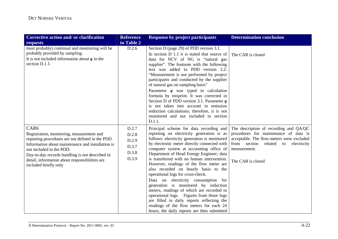| Corrective action and/ or clarification<br>requests                                                                                                                                                                                                                                                                              | <b>Reference</b><br>to Table 2                     | <b>Response by project participants</b>                                                                                                                                                                                                                                                                                                                                                                                                                                                                                         | <b>Determination conclusion</b>                                                                                                                                                                                   |
|----------------------------------------------------------------------------------------------------------------------------------------------------------------------------------------------------------------------------------------------------------------------------------------------------------------------------------|----------------------------------------------------|---------------------------------------------------------------------------------------------------------------------------------------------------------------------------------------------------------------------------------------------------------------------------------------------------------------------------------------------------------------------------------------------------------------------------------------------------------------------------------------------------------------------------------|-------------------------------------------------------------------------------------------------------------------------------------------------------------------------------------------------------------------|
| most probably) continual and monitoring will be<br>probably provided by sampling.<br>It is not included information about $\eta$ in the<br>section D.1.1.                                                                                                                                                                        | D.2.6                                              | Section D (page 29) of PDD version 3.1.<br>In section D 1.1 it is stated that source of<br>data for NCV of NG is "natural gas<br>supplier". The footnote with the following<br>text was added to PDD version 3.2:<br>"Measurement is not performed by project<br>participants and conducted by the supplier<br>of natural gas on sampling basis"                                                                                                                                                                                | The CAR is closed                                                                                                                                                                                                 |
|                                                                                                                                                                                                                                                                                                                                  |                                                    | Parameter $\eta$ was typed in calculation<br>formula by misprint. It was corrected in<br>Section D of PDD version 3.1. Parameter $\eta$<br>is not taken into account in emission<br>reduction calculations; therefore, it is not<br>monitored and not included to section<br>D.1.1.                                                                                                                                                                                                                                             |                                                                                                                                                                                                                   |
| CAR <sub>6</sub><br>Registration, monitoring, measurement and<br>reporting procedures are not defined in the PDD.<br>Information about maintenance and installation is<br>not included in the PDD.<br>Day-to-day records handling is not described in<br>detail, information about responsibilities are<br>included briefly only | D.2.7<br>D.2.8<br>D.2.9<br>D.3.7<br>D.3.8<br>D.3.9 | Principal scheme for data recording and<br>reporting on electricity generation is as<br>follows: electricity generation is monitored<br>by electronic meter directly connected with<br>computer system at accounting office of<br>Department of Head Energy Engineer; data<br>is transferred with no human intervention.<br>However, readings of the flow meter are<br>also recorded on hourly basis to the<br>operational logs for cross-check.<br>Data on electricity consumption for<br>generation is monitored by induction | The description of recording and QA/QC<br>procedures for maintenance of data is<br>acceptable. The flow-meters were excluded<br>from<br>section<br>related to<br>electricity<br>measurement.<br>The CAR is closed |
|                                                                                                                                                                                                                                                                                                                                  |                                                    | meters, readings of which are recorded to<br>operational logs. Figures from those logs<br>are filled in daily reports reflecting the<br>readings of the flow meters for each 24<br>hours, the daily reports are then submitted                                                                                                                                                                                                                                                                                                  |                                                                                                                                                                                                                   |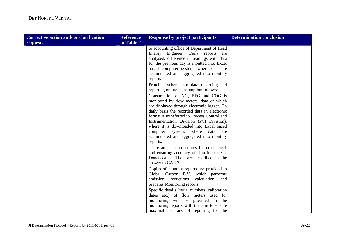| Corrective action and/ or clarification | <b>Reference</b> | <b>Response by project participants</b>                                                                                                                                                                                                                                                                                                                                                                                                                                                             | <b>Determination conclusion</b> |
|-----------------------------------------|------------------|-----------------------------------------------------------------------------------------------------------------------------------------------------------------------------------------------------------------------------------------------------------------------------------------------------------------------------------------------------------------------------------------------------------------------------------------------------------------------------------------------------|---------------------------------|
| requests                                | to Table 2       |                                                                                                                                                                                                                                                                                                                                                                                                                                                                                                     |                                 |
|                                         |                  | to accounting office of Department of Head<br>Energy Engineer. Daily reports<br>are<br>analysed, difference in readings with data<br>for the previous day is inputted into Excel<br>based computer system, where data are<br>accumulated and aggregated into monthly<br>reports.                                                                                                                                                                                                                    |                                 |
|                                         |                  | Principal scheme for data recording and<br>reporting on fuel consumption follows:<br>Consumption of NG, BFG and COG is<br>monitored by flow meters, data of which<br>are displayed through electronic logger. On<br>daily basis the recorded data in electronic<br>format is transferred to Process Control and<br>Instrumentation Division (PCI Division),<br>where it is downloaded into Excel based<br>computer system, where data<br>are<br>accumulated and aggregated into monthly<br>reports. |                                 |
|                                         |                  | There are also procedures for cross-check<br>and ensuring accuracy of data in place at<br>Donetsksteel. They are described in the<br>answer to CAR 7.                                                                                                                                                                                                                                                                                                                                               |                                 |
|                                         |                  | Copies of monthly reports are provided to<br>Global Carbon B.V. which performs<br>emission reductions<br>calculation<br>and<br>prepares Monitoring reports.                                                                                                                                                                                                                                                                                                                                         |                                 |
|                                         |                  | Specific details (serial numbers, calibration<br>dates etc.) of flow meters used for<br>monitoring will be provided in the<br>monitoring reports with the aim to ensure<br>maximal accuracy of reporting for the                                                                                                                                                                                                                                                                                    |                                 |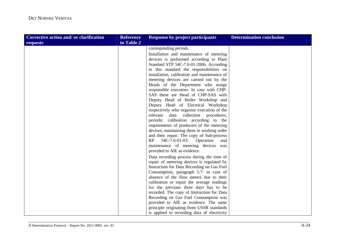| Corrective action and/ or clarification | <b>Reference</b> | <b>Response by project participants</b>      | <b>Determination conclusion</b> |
|-----------------------------------------|------------------|----------------------------------------------|---------------------------------|
| requests                                | to Table 2       |                                              |                                 |
|                                         |                  | corresponding periods.                       |                                 |
|                                         |                  | Installation and maintenance of metering     |                                 |
|                                         |                  | devices is performed according to Plant      |                                 |
|                                         |                  | Standard STP 54C-7.6-01-2006. According      |                                 |
|                                         |                  | to this standard the responsibilities on     |                                 |
|                                         |                  | installation, calibration and maintenance of |                                 |
|                                         |                  | metering devices are carried out by the      |                                 |
|                                         |                  | Heads of the Department who assign           |                                 |
|                                         |                  | responsible executors. In case with CHP-     |                                 |
|                                         |                  | SAS these are Head of CHP-SAS with           |                                 |
|                                         |                  | Deputy Head of Boiler Workshop and           |                                 |
|                                         |                  | Deputy Head of Electrical Workshop           |                                 |
|                                         |                  | respectively who organize execution of the   |                                 |
|                                         |                  | relevant data collection procedures,         |                                 |
|                                         |                  | periodic calibration according to the        |                                 |
|                                         |                  | requirements of producers of the metering    |                                 |
|                                         |                  | devises, maintaining them in working order   |                                 |
|                                         |                  | and their repair. The copy of Sub-process    |                                 |
|                                         |                  | 54C-7.6-01-03: Operation<br>RP<br>and        |                                 |
|                                         |                  | maintenance of metering devices was          |                                 |
|                                         |                  | provided to AIE as evidence.                 |                                 |
|                                         |                  | Data recording process during the time of    |                                 |
|                                         |                  | repair of metering devices is regulated by   |                                 |
|                                         |                  | Instruction for Data Recording on Gas Fuel   |                                 |
|                                         |                  | Consumption, paragraph 5.7: in case of       |                                 |
|                                         |                  | absence of the flow meters due to their      |                                 |
|                                         |                  | calibration or repair the average readings   |                                 |
|                                         |                  | for the previous three days has to be        |                                 |
|                                         |                  | recorded. The copy of Instruction for Data   |                                 |
|                                         |                  | Recording on Gas Fuel Consumption was        |                                 |
|                                         |                  | provided to AIE as evidence. The same        |                                 |
|                                         |                  | principle originating from USSR standards    |                                 |
|                                         |                  | is applied to recording data of electricity  |                                 |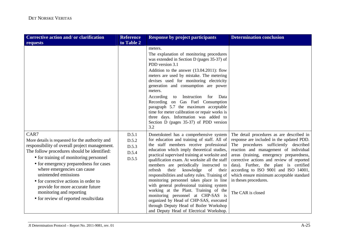| Corrective action and/ or clarification                                                                                                                                                                                                                                                                                                                                                                                                             | <b>Reference</b>                          | <b>Response by project participants</b>                                                                                                                                                                                                                                                                                                                                                                                                                                                                                                                                                                                                                                                                                          | <b>Determination conclusion</b>                                                                                                                                                                                                                                                                                                                                                                                                               |
|-----------------------------------------------------------------------------------------------------------------------------------------------------------------------------------------------------------------------------------------------------------------------------------------------------------------------------------------------------------------------------------------------------------------------------------------------------|-------------------------------------------|----------------------------------------------------------------------------------------------------------------------------------------------------------------------------------------------------------------------------------------------------------------------------------------------------------------------------------------------------------------------------------------------------------------------------------------------------------------------------------------------------------------------------------------------------------------------------------------------------------------------------------------------------------------------------------------------------------------------------------|-----------------------------------------------------------------------------------------------------------------------------------------------------------------------------------------------------------------------------------------------------------------------------------------------------------------------------------------------------------------------------------------------------------------------------------------------|
| requests                                                                                                                                                                                                                                                                                                                                                                                                                                            | to Table 2                                |                                                                                                                                                                                                                                                                                                                                                                                                                                                                                                                                                                                                                                                                                                                                  |                                                                                                                                                                                                                                                                                                                                                                                                                                               |
|                                                                                                                                                                                                                                                                                                                                                                                                                                                     |                                           | meters.<br>The explanation of monitoring procedures<br>was extended in Section D (pages 35-37) of<br>PDD version 3.1<br>Addition to the answer (13.04.2011): flow<br>meters are used by mistake. The metering<br>devises used for monitoring electricity<br>generation and consumption are power<br>meters.<br>Instruction<br>Data<br>According<br>for<br>to<br>Recording on Gas Fuel Consumption<br>paragraph 5.7 the maximum acceptable<br>time for meter calibration or repair works is<br>three days. Information was added to<br>Section D (pages 35-37) of PDD version<br>3.2                                                                                                                                              |                                                                                                                                                                                                                                                                                                                                                                                                                                               |
| CAR7<br>More details is requested for the authority and<br>responsibility of overall project management.<br>The follow procedures should be identified:<br>• for training of monitoring personnel<br>• for emergency preparedness for cases<br>where emergencies can cause<br>unintended emissions<br>• for corrective actions in order to<br>provide for more accurate future<br>monitoring and reporting<br>• for review of reported results/data | D.5.1<br>D.5.2<br>D.5.3<br>D.5.4<br>D.5.5 | Donetsksteel has a comprehensive system<br>for education and training of staff. All of<br>the staff members receive professional<br>education which imply theoretical studies,<br>practical supervised training at worksite and<br>qualification exam. At worksite all the staff<br>members are periodically instructed to<br>refresh<br>their knowledge<br>of<br>their<br>responsibilities and safety rules. Training of<br>monitoring personnel takes place in line<br>with general professional training system<br>working at the Plant. Training of the<br>monitoring personnel at CHP-SAS is<br>organized by Head of CHP-SAS, executed<br>through Deputy Head of Boiler Workshop<br>and Deputy Head of Electrical Workshop. | The detail procedures as are described in<br>response are included in the updated PDD.<br>The procedures sufficiently described<br>reaction and management of individual<br>areas (training, emergency preparedness,<br>corrective actions and review of reported<br>data). Further, the plant is certified<br>according to ISO 9001 and ISO 14001,<br>which ensure minimum acceptable standard<br>in theses procedures.<br>The CAR is closed |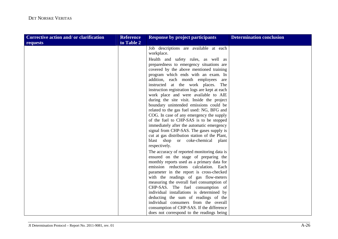| Corrective action and/ or clarification | <b>Reference</b> | <b>Response by project participants</b>        | <b>Determination conclusion</b> |
|-----------------------------------------|------------------|------------------------------------------------|---------------------------------|
| requests                                | to Table 2       |                                                |                                 |
|                                         |                  | Job descriptions are available at each         |                                 |
|                                         |                  | workplace.                                     |                                 |
|                                         |                  | Health and safety rules, as well as            |                                 |
|                                         |                  | preparedness to emergency situations are       |                                 |
|                                         |                  | covered by the above mentioned training        |                                 |
|                                         |                  | program which ends with an exam. In            |                                 |
|                                         |                  | addition, each month employees are             |                                 |
|                                         |                  | instructed at the work places. The             |                                 |
|                                         |                  | instruction registration logs are kept at each |                                 |
|                                         |                  | work place and were available to AIE           |                                 |
|                                         |                  | during the site visit. Inside the project      |                                 |
|                                         |                  | boundary unintended emissions could be         |                                 |
|                                         |                  | related to the gas fuel used: NG, BFG and      |                                 |
|                                         |                  | COG. In case of any emergency the supply       |                                 |
|                                         |                  | of the fuel to CHP-SAS is to be stopped        |                                 |
|                                         |                  | immediately after the automatic emergency      |                                 |
|                                         |                  | signal from CHP-SAS. The gases supply is       |                                 |
|                                         |                  | cut at gas distribution station of the Plant,  |                                 |
|                                         |                  | blast shop or coke-chemical<br>plant           |                                 |
|                                         |                  | respectively.                                  |                                 |
|                                         |                  | The accuracy of reported monitoring data is    |                                 |
|                                         |                  | ensured on the stage of preparing the          |                                 |
|                                         |                  | monthly reports used as a primary data for     |                                 |
|                                         |                  | emission reductions calculation. Each          |                                 |
|                                         |                  | parameter in the report is cross-checked       |                                 |
|                                         |                  | with the readings of gas flow-meters           |                                 |
|                                         |                  | measuring the overall fuel consumption of      |                                 |
|                                         |                  | CHP-SAS. The fuel consumption of               |                                 |
|                                         |                  | individual installations is determined by      |                                 |
|                                         |                  | deducting the sum of readings of the           |                                 |
|                                         |                  | individual consumers from the overall          |                                 |
|                                         |                  | consumption of CHP-SAS. If the difference      |                                 |
|                                         |                  | does not correspond to the readings being      |                                 |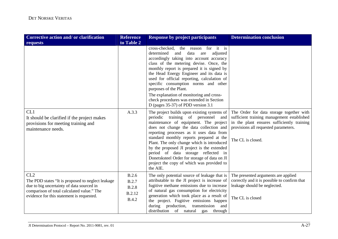| <b>Corrective action and/or clarification</b>                                                                                                                                                    | <b>Reference</b>                                                       | <b>Response by project participants</b>                                                                                                                                                                                                                                                                                                                                                                                                                                                                                     | <b>Determination conclusion</b>                                                                                                                                                                   |
|--------------------------------------------------------------------------------------------------------------------------------------------------------------------------------------------------|------------------------------------------------------------------------|-----------------------------------------------------------------------------------------------------------------------------------------------------------------------------------------------------------------------------------------------------------------------------------------------------------------------------------------------------------------------------------------------------------------------------------------------------------------------------------------------------------------------------|---------------------------------------------------------------------------------------------------------------------------------------------------------------------------------------------------|
| requests                                                                                                                                                                                         | to Table 2                                                             |                                                                                                                                                                                                                                                                                                                                                                                                                                                                                                                             |                                                                                                                                                                                                   |
|                                                                                                                                                                                                  |                                                                        | cross-checked,<br>the reason for it is<br>adjusted<br>determined<br>and<br>data<br>are<br>accordingly taking into account accuracy<br>class of the metering devise. Once, the<br>monthly report is prepared it is signed by<br>the Head Energy Engineer and its data is<br>used for official reporting, calculation of<br>specific consumption norms and other<br>purposes of the Plant.<br>The explanation of monitoring and cross-<br>check procedures was extended in Section<br>D (pages $35-37$ ) of PDD version $3.1$ |                                                                                                                                                                                                   |
| CL1<br>It should be clarified if the project makes<br>provisions for meeting training and<br>maintenance needs.                                                                                  | A.3.3                                                                  | The project builds upon existing systems of<br>periodic training of personnel and<br>maintenance of equipment. The project<br>does not change the data collection and<br>reporting processes as it uses data from<br>standard monthly reports prepared at the<br>Plant. The only change which is introduced<br>by the proposed JI project is the extended<br>period of data storage reflected in<br>Donetsksteel Order for storage of data on JI<br>project the copy of which was provided to<br>the AIE.                   | The Order for data storage together with<br>sufficient training management established<br>in the plant ensures sufficiently training<br>provisions all requested parameters.<br>The CL is closed. |
| CL2<br>The PDD states "It is proposed to neglect leakage<br>due to big uncertainty of data sourced in<br>comparison of total calculated value." The<br>evidence for this statement is requested. | B.2.6<br><b>B.2.7</b><br><b>B.2.8</b><br><b>B.2.12</b><br><b>B.4.2</b> | The only potential source of leakage that is<br>attributable to the JI project is increase of<br>fugitive methane emissions due to increase<br>of natural gas consumption for electricity<br>generation which took place as a result of<br>the project. Fugitive emissions happen<br>during production,<br>transmission<br>and<br>distribution of natural<br>gas through                                                                                                                                                    | The presented arguments are applied<br>correctly and it is possible to confirm that<br>leakage should be neglected.<br>The CL is closed                                                           |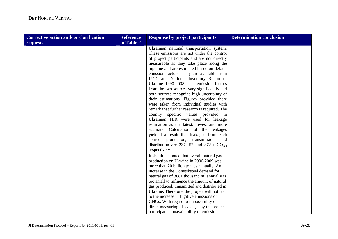| Corrective action and/ or clarification | <b>Reference</b> | <b>Response by project participants</b>       | <b>Determination conclusion</b> |
|-----------------------------------------|------------------|-----------------------------------------------|---------------------------------|
| requests                                | to Table 2       |                                               |                                 |
|                                         |                  | Ukrainian national transportation system.     |                                 |
|                                         |                  | These emissions are not under the control     |                                 |
|                                         |                  | of project participants and are not directly  |                                 |
|                                         |                  | measurable as they take place along the       |                                 |
|                                         |                  | pipeline and are estimated based on default   |                                 |
|                                         |                  | emission factors. They are available from     |                                 |
|                                         |                  | IPCC and National Inventory Report of         |                                 |
|                                         |                  | Ukraine 1990-2008. The emission factors       |                                 |
|                                         |                  | from the two sources vary significantly and   |                                 |
|                                         |                  | both sources recognize high uncertainty of    |                                 |
|                                         |                  | their estimations. Figures provided there     |                                 |
|                                         |                  | were taken from individual studies with       |                                 |
|                                         |                  | remark that further research is required. The |                                 |
|                                         |                  | country specific values provided in           |                                 |
|                                         |                  | Ukrainian NIR were used for leakage           |                                 |
|                                         |                  | estimation as the latest, lowest and more     |                                 |
|                                         |                  | accurate. Calculation of the leakages         |                                 |
|                                         |                  | yielded a result that leakages from each      |                                 |
|                                         |                  | source production, transmission<br>and        |                                 |
|                                         |                  | distribution are 237, 52 and 372 t $CO2ea$    |                                 |
|                                         |                  | respectively.                                 |                                 |
|                                         |                  | It should be noted that overall natural gas   |                                 |
|                                         |                  | production on Ukraine in 2006-2009 was        |                                 |
|                                         |                  | more than 20 billion tonnes annually. An      |                                 |
|                                         |                  | increase in the Donetsksteel demand for       |                                 |
|                                         |                  | natural gas of 3881 thousand $m3$ annually is |                                 |
|                                         |                  | too small to influence the amount of natural  |                                 |
|                                         |                  | gas produced, transmitted and distributed in  |                                 |
|                                         |                  | Ukraine. Therefore, the project will not lead |                                 |
|                                         |                  | to the increase in fugitive emissions of      |                                 |
|                                         |                  | GHGs. With regard to impossibility of         |                                 |
|                                         |                  | direct measuring of leakages by the project   |                                 |
|                                         |                  | participants; unavailability of emission      |                                 |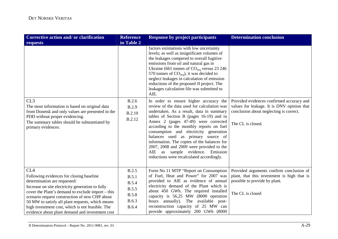| <b>Corrective action and/or clarification</b>                                                                                                                                                                                                                                                                                                                                                                     | <b>Reference</b>                                                                               | <b>Response by project participants</b>                                                                                                                                                                                                                                                                                                                                                                                                                                                                                       | <b>Determination conclusion</b>                                                                                                                         |
|-------------------------------------------------------------------------------------------------------------------------------------------------------------------------------------------------------------------------------------------------------------------------------------------------------------------------------------------------------------------------------------------------------------------|------------------------------------------------------------------------------------------------|-------------------------------------------------------------------------------------------------------------------------------------------------------------------------------------------------------------------------------------------------------------------------------------------------------------------------------------------------------------------------------------------------------------------------------------------------------------------------------------------------------------------------------|---------------------------------------------------------------------------------------------------------------------------------------------------------|
| requests                                                                                                                                                                                                                                                                                                                                                                                                          | to Table 2                                                                                     |                                                                                                                                                                                                                                                                                                                                                                                                                                                                                                                               |                                                                                                                                                         |
|                                                                                                                                                                                                                                                                                                                                                                                                                   |                                                                                                | factors estimations with low uncertainty<br>levels; as well as insignificant volumes of<br>the leakages compered to overall fugitive<br>emissions from oil and natural gas in<br>Ukraine (661 tonnes of $CO2eq$ versus 23 246<br>570 tonnes of $CO2eq$ ), it was decided to<br>neglect leakages in calculation of emission<br>reductions of the proposed JI project. The<br>leakages calculation file was submitted to<br>AIE.                                                                                                |                                                                                                                                                         |
| CL3<br>The most information is based on original data<br>from Donetsk and only values are presented in the<br>PDD without proper evidencing.<br>The summary tables should be substantiated by<br>primary evidences.                                                                                                                                                                                               | B.2.6<br><b>B.2.9</b><br><b>B.2.10</b><br><b>B.2.12</b>                                        | In order to ensure higher accuracy the<br>review of the data used for calculation was<br>undertaken. As a result, data in summary<br>tables of Section B (pages 16-19) and in<br>Annex 2 (pages 47-49) were corrected<br>according to the monthly reports on fuel<br>consumption and electricity generation<br>balances used as primary source of<br>information. The copies of the balances for<br>2007, 2008 and 2009 were provided to the<br>AIE as sample evidence. Emission<br>reductions were recalculated accordingly. | Provided evidences confirmed accuracy and<br>values for leakage. It is DNV opinion that<br>conclusion about neglecting is correct.<br>The CL is closed. |
| CL <sub>4</sub><br>Following evidences for closing baseline<br>determination are requested:<br>Increase on site electricity generation to fully<br>cover the Plant's demand to exclude import – this<br>scenario request construction of new CHP about<br>50 MW to satisfy all plant requests, which means<br>high investment cost, which is not feasible. The<br>evidence about plant demand and investment cost | <b>B.2.5</b><br>B.5.1<br><b>B.5.4</b><br><b>B.5.5</b><br><b>B.5.8</b><br>B.6.3<br><b>B.6.4</b> | Form No 11 MTP "Report on Consumption<br>of Fuel, Heat and Power" for 2007 was<br>provided to AIE as evidence of annual<br>electricity demand of the Plant which is<br>about 450 GWh. The required installed<br>capacity is 56,25 MW (8000 operation<br>hours annually). The available post-<br>reconstruction capacity of 25 MW can<br>provide approximately 200 GWh (8000                                                                                                                                                   | Provided arguments confirm conclusion of<br>plant, that this investment is high that is<br>possible to provide by plant.<br>The CL is closed            |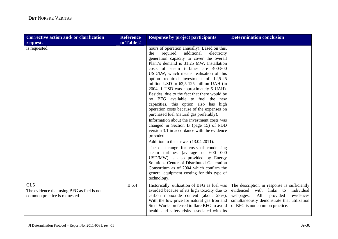| <b>Corrective action and/or clarification</b>                                                  | <b>Reference</b> | <b>Response by project participants</b>                                                                                                                                                                                                                                                                                                                                                                                                                                                                                                                                                                                    | <b>Determination conclusion</b>                                                                                                                                                                                          |
|------------------------------------------------------------------------------------------------|------------------|----------------------------------------------------------------------------------------------------------------------------------------------------------------------------------------------------------------------------------------------------------------------------------------------------------------------------------------------------------------------------------------------------------------------------------------------------------------------------------------------------------------------------------------------------------------------------------------------------------------------------|--------------------------------------------------------------------------------------------------------------------------------------------------------------------------------------------------------------------------|
| requests                                                                                       | to Table 2       |                                                                                                                                                                                                                                                                                                                                                                                                                                                                                                                                                                                                                            |                                                                                                                                                                                                                          |
| is requested.                                                                                  |                  | hours of operation annually). Based on this,<br>additional<br>required<br>the<br>electricity<br>generation capacity to cover the overall<br>Plant's demand is 31,25 MW. Installation<br>costs of steam turbines are 400-800<br>USD/kW, which means realisation of this<br>option required investment of 12,5-25<br>million USD or 62,5-125 million UAH (in<br>2004, 1 USD was approximately 5 UAH).<br>Besides, due to the fact that there would be<br>no BFG available to fuel the new<br>capacities, this option also has high<br>operation costs because of the expenses on<br>purchased fuel (natural gas preferably). |                                                                                                                                                                                                                          |
|                                                                                                |                  | Information about the investment costs was<br>changed in Section B (page 15) of PDD<br>version 3.1 in accordance with the evidence<br>provided.<br>Addition to the answer (13.04.2011):                                                                                                                                                                                                                                                                                                                                                                                                                                    |                                                                                                                                                                                                                          |
|                                                                                                |                  | The data range for costs of condensing<br>steam turbines (average of 600 000<br>USD/MW) is also provided by Energy<br>Solutions Center of Distributed Generation<br>Consortium as of 2004 which confirm the<br>general equipment costing for this type of<br>technology.                                                                                                                                                                                                                                                                                                                                                   |                                                                                                                                                                                                                          |
| CL <sub>5</sub><br>The evidence that using BFG as fuel is not<br>common practice is requested. | <b>B.6.4</b>     | Historically, utilization of BFG as fuel was<br>avoided because of its high toxicity due to<br>carbon monoxide content (about 28%).<br>With the low price for natural gas Iron and<br>Steel Works preferred to flare BFG to avoid<br>health and safety risks associated with its                                                                                                                                                                                                                                                                                                                                           | The description in response is sufficiently<br>evidenced<br>with<br>links to<br>individual<br>provided<br>evidences<br>webpages.<br>All<br>simultaneously demonstrate that utilization<br>of BFG is not common practice. |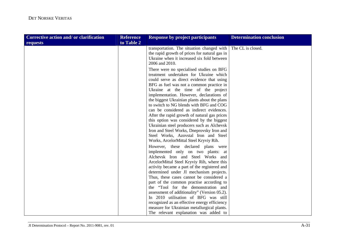| <b>Corrective action and/or clarification</b> | <b>Reference</b> | <b>Response by project participants</b>                                                                                                                                                                                                                                                                                                                                                                                                                                                                                                                                                                                                                                        | <b>Determination conclusion</b> |
|-----------------------------------------------|------------------|--------------------------------------------------------------------------------------------------------------------------------------------------------------------------------------------------------------------------------------------------------------------------------------------------------------------------------------------------------------------------------------------------------------------------------------------------------------------------------------------------------------------------------------------------------------------------------------------------------------------------------------------------------------------------------|---------------------------------|
| requests                                      | to Table 2       |                                                                                                                                                                                                                                                                                                                                                                                                                                                                                                                                                                                                                                                                                |                                 |
|                                               |                  | transportation. The situation changed with<br>the rapid growth of prices for natural gas in<br>Ukraine when it increased six fold between<br>2006 and 2010.                                                                                                                                                                                                                                                                                                                                                                                                                                                                                                                    | The CL is closed.               |
|                                               |                  | There were no specialised studies on BFG<br>treatment undertaken for Ukraine which<br>could serve as direct evidence that using<br>BFG as fuel was not a common practice in<br>Ukraine at the time of the project<br>implementation. However, declarations of<br>the biggest Ukrainian plants about the plans<br>to switch to NG blends with BFG and COG<br>can be considered as indirect evidences.<br>After the rapid growth of natural gas prices<br>this option was considered by the biggest<br>Ukrainian steel producers such as Alchevsk<br>Iron and Steel Works, Dneprovsky Iron and<br>Steel Works, Azovstal Iron and Steel<br>Works, ArcelorMittal Steel Kryviy Rih. |                                 |
|                                               |                  | However, these declared plans were<br>implemented only on two plants: at<br>Alchevsk Iron and Steel Works and<br>ArcelorMittal Steel Kryviy Rih, where this<br>activity became a part of the registered and<br>determined under JI mechanism projects.<br>Thus, these cases cannot be considered a<br>part of the common practise according to<br>the "Tool for the demonstration and<br>assessment of additionality" (Version 05.2).<br>In 2010 utilisation of BFG was still<br>recognized as an effective energy efficiency<br>measure for Ukrainian metallurgical plants.<br>The relevant explanation was added to                                                          |                                 |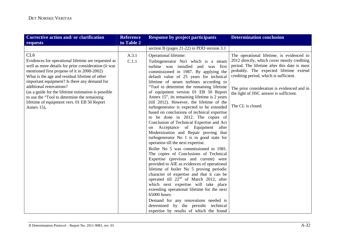| Corrective action and/ or clarification                                                                                                                                                                                                                                                                                                                                                                                                                                       | <b>Reference</b> | <b>Response by project participants</b>                                                                                                                                                                                                                                                                                                                                                                                                                                                                                                                                                                                                                                                                                                                                                                                                                                                                                                                                                                                                                                                                                                                                                                                                                                                                              | <b>Determination conclusion</b>                                                                                                                                                                                                                                                                                                             |
|-------------------------------------------------------------------------------------------------------------------------------------------------------------------------------------------------------------------------------------------------------------------------------------------------------------------------------------------------------------------------------------------------------------------------------------------------------------------------------|------------------|----------------------------------------------------------------------------------------------------------------------------------------------------------------------------------------------------------------------------------------------------------------------------------------------------------------------------------------------------------------------------------------------------------------------------------------------------------------------------------------------------------------------------------------------------------------------------------------------------------------------------------------------------------------------------------------------------------------------------------------------------------------------------------------------------------------------------------------------------------------------------------------------------------------------------------------------------------------------------------------------------------------------------------------------------------------------------------------------------------------------------------------------------------------------------------------------------------------------------------------------------------------------------------------------------------------------|---------------------------------------------------------------------------------------------------------------------------------------------------------------------------------------------------------------------------------------------------------------------------------------------------------------------------------------------|
| requests                                                                                                                                                                                                                                                                                                                                                                                                                                                                      | to Table 2       |                                                                                                                                                                                                                                                                                                                                                                                                                                                                                                                                                                                                                                                                                                                                                                                                                                                                                                                                                                                                                                                                                                                                                                                                                                                                                                                      |                                                                                                                                                                                                                                                                                                                                             |
|                                                                                                                                                                                                                                                                                                                                                                                                                                                                               |                  | section B (pages $21-22$ ) in PDD version 3.1                                                                                                                                                                                                                                                                                                                                                                                                                                                                                                                                                                                                                                                                                                                                                                                                                                                                                                                                                                                                                                                                                                                                                                                                                                                                        |                                                                                                                                                                                                                                                                                                                                             |
| CL <sub>6</sub><br>Evidences for operational lifetime are requested as<br>well as more details for prior consideration (it was<br>mentioned first propose of it in 2000-2002)<br>What is the age and residual lifetime of other<br>important equipment? Is there any demand for<br>additional renovations?<br>(as a guide for the lifetime estimation is possible<br>to use the "Tool to determine the remaining<br>lifetime of equipment vers. 01 EB 50 Report<br>Annex 15). | A.3.1<br>C.1.1   | Operational lifetime:<br>Turbogenerator No1 which is a steam<br>turbine was installed and was first<br>commissioned in 1987. By applying the<br>default value of 25 years for technical<br>lifetime of steam turbines according to<br>"Tool to determine the remaining lifetime<br>of equipment version 01 EB 50 Report<br>Annex 15", its remaining lifetime is 2 years<br>(till 2012). However, the lifetime of the<br>turbogenerator is expected to be extended<br>based on conclusions of technical expertise<br>to be done in 2012. The copies of<br>Conclusion of Technical Expertise and Act<br>on Acceptance of Equipment after<br>Modernization and Repair proving that<br>turbogenerator No 1 is in good state for<br>operation till the next expertise.<br>Boiler No 5 was commissioned in 1981.<br>The copies of Conclusions of Technical<br>Expertise (previous and current) were<br>provided to AIE as evidences of operational<br>lifetime of boiler No 5 proving periodic<br>character of expertise and that it can be<br>operated till $22nd$ of March 2012, after<br>which next expertise will take place<br>extending operational lifetime for the next<br>65000 hours.<br>Demand for any renovations needed is<br>determined by the periodic technical<br>expertise by results of which the found | The operational lifetime, is evidenced to<br>2012 directly, which cover mostly crediting<br>period. The lifetime after this date is most<br>probably. The expected lifetime extend<br>crediting period, which is sufficient.<br>The prior consideration is evidenced and in<br>the light of JISC answer is sufficient.<br>The CL is closed. |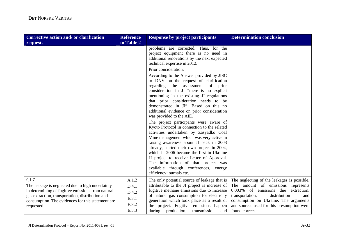| Corrective action and/ or clarification                                                                                                                                                                                             | <b>Reference</b>                                   | <b>Response by project participants</b>                                                                                                                                                                                                                                                                                                                                                                                                                                                                                                                                                                                                                                                                                                                                                                                                                     | <b>Determination conclusion</b>                                                                                                                                                                                                                                                   |
|-------------------------------------------------------------------------------------------------------------------------------------------------------------------------------------------------------------------------------------|----------------------------------------------------|-------------------------------------------------------------------------------------------------------------------------------------------------------------------------------------------------------------------------------------------------------------------------------------------------------------------------------------------------------------------------------------------------------------------------------------------------------------------------------------------------------------------------------------------------------------------------------------------------------------------------------------------------------------------------------------------------------------------------------------------------------------------------------------------------------------------------------------------------------------|-----------------------------------------------------------------------------------------------------------------------------------------------------------------------------------------------------------------------------------------------------------------------------------|
| requests                                                                                                                                                                                                                            | to Table 2                                         |                                                                                                                                                                                                                                                                                                                                                                                                                                                                                                                                                                                                                                                                                                                                                                                                                                                             |                                                                                                                                                                                                                                                                                   |
|                                                                                                                                                                                                                                     |                                                    | problems are corrected. Thus, for the<br>project equipment there is no need in<br>additional renovations by the next expected<br>technical expertise in 2012.<br>Prior concideration:                                                                                                                                                                                                                                                                                                                                                                                                                                                                                                                                                                                                                                                                       |                                                                                                                                                                                                                                                                                   |
|                                                                                                                                                                                                                                     |                                                    | According to the Answer provided by JISC<br>to DNV on the request of clarification<br>regarding the assessment of prior<br>consideration in JI "there is no explicit<br>mentioning in the existing JI regulations<br>that prior consideration needs to be<br>demonstrated in JI". Based on this no<br>additional evidence on prior consideration<br>was provided to the AIE.<br>The project participants were aware of<br>Kyoto Protocol in connection to the related<br>activities undertaken by Zasyadko Coal<br>Mine management which was very active in<br>raising awareness about JI back in 2003<br>already, started their own project in 2004,<br>which in 2006 became the first in Ukraine<br>JI project to receive Letter of Approval.<br>The information of that project was<br>available through conferences, energy<br>efficiency journals etc. |                                                                                                                                                                                                                                                                                   |
| CL7<br>The leakage is neglected due to high uncertainty<br>in determining of fugitive emissions from natural<br>gas extraction, transportation, distribution and<br>consumption. The evidences for this statement are<br>requested. | A.1.2<br>D.4.1<br>D.4.2<br>E.3.1<br>E.3.2<br>E.3.3 | The only potential source of leakage that is<br>attributable to the JI project is increase of<br>fugitive methane emissions due to increase<br>of natural gas consumption for electricity<br>generation which took place as a result of<br>the project. Fugitive emissions happen<br>during production,<br>transmission and                                                                                                                                                                                                                                                                                                                                                                                                                                                                                                                                 | The neglecting of the leakages is possible.<br>The amount of emissions<br>represents<br>0.003% of emissions due<br>extraction,<br>transportation,<br>distribution<br>and<br>consumption on Ukraine. The arguments<br>and sources used for this presumption were<br>found correct. |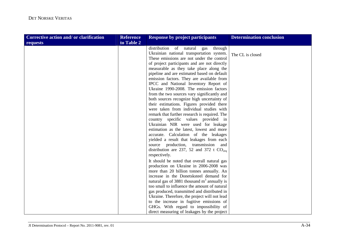| Corrective action and/ or clarification | <b>Reference</b> | <b>Response by project participants</b>       | <b>Determination conclusion</b> |
|-----------------------------------------|------------------|-----------------------------------------------|---------------------------------|
| requests                                | to Table 2       |                                               |                                 |
|                                         |                  | distribution of natural<br>through<br>gas     |                                 |
|                                         |                  | Ukrainian national transportation system.     | The CL is closed                |
|                                         |                  | These emissions are not under the control     |                                 |
|                                         |                  | of project participants and are not directly  |                                 |
|                                         |                  | measurable as they take place along the       |                                 |
|                                         |                  | pipeline and are estimated based on default   |                                 |
|                                         |                  | emission factors. They are available from     |                                 |
|                                         |                  | IPCC and National Inventory Report of         |                                 |
|                                         |                  | Ukraine 1990-2008. The emission factors       |                                 |
|                                         |                  | from the two sources vary significantly and   |                                 |
|                                         |                  | both sources recognize high uncertainty of    |                                 |
|                                         |                  | their estimations. Figures provided there     |                                 |
|                                         |                  | were taken from individual studies with       |                                 |
|                                         |                  | remark that further research is required. The |                                 |
|                                         |                  | country specific values provided in           |                                 |
|                                         |                  | Ukrainian NIR were used for leakage           |                                 |
|                                         |                  | estimation as the latest, lowest and more     |                                 |
|                                         |                  | accurate. Calculation of the leakages         |                                 |
|                                         |                  | yielded a result that leakages from each      |                                 |
|                                         |                  | source production, transmission<br>and        |                                 |
|                                         |                  | distribution are 237, 52 and 372 t $CO2ea$    |                                 |
|                                         |                  | respectively.                                 |                                 |
|                                         |                  | It should be noted that overall natural gas   |                                 |
|                                         |                  | production on Ukraine in 2006-2008 was        |                                 |
|                                         |                  | more than 20 billion tonnes annually. An      |                                 |
|                                         |                  | increase in the Donetsksteel demand for       |                                 |
|                                         |                  | natural gas of 3881 thousand $m3$ annually is |                                 |
|                                         |                  | too small to influence the amount of natural  |                                 |
|                                         |                  | gas produced, transmitted and distributed in  |                                 |
|                                         |                  | Ukraine. Therefore, the project will not lead |                                 |
|                                         |                  | to the increase in fugitive emissions of      |                                 |
|                                         |                  | GHGs. With regard to impossibility of         |                                 |
|                                         |                  | direct measuring of leakages by the project   |                                 |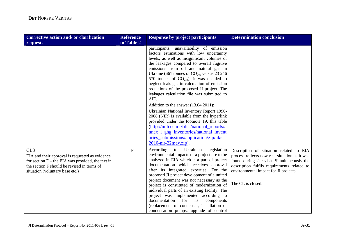| <b>Corrective action and/or clarification</b>                                                                                                                                                               | <b>Reference</b> | <b>Response by project participants</b>                                                                                                                                                                                                                                                                                                                                                                                                                                                                                                                                                                                                                                                                                                                                                                                | <b>Determination conclusion</b>                                                                                                                                                                                                                      |
|-------------------------------------------------------------------------------------------------------------------------------------------------------------------------------------------------------------|------------------|------------------------------------------------------------------------------------------------------------------------------------------------------------------------------------------------------------------------------------------------------------------------------------------------------------------------------------------------------------------------------------------------------------------------------------------------------------------------------------------------------------------------------------------------------------------------------------------------------------------------------------------------------------------------------------------------------------------------------------------------------------------------------------------------------------------------|------------------------------------------------------------------------------------------------------------------------------------------------------------------------------------------------------------------------------------------------------|
| requests                                                                                                                                                                                                    | to Table 2       |                                                                                                                                                                                                                                                                                                                                                                                                                                                                                                                                                                                                                                                                                                                                                                                                                        |                                                                                                                                                                                                                                                      |
|                                                                                                                                                                                                             |                  | participants; unavailability of emission<br>factors estimations with low uncertainty<br>levels; as well as insignificant volumes of<br>the leakages compered to overall fugitive<br>emissions from oil and natural gas in<br>Ukraine (661 tonnes of $CO2eq$ versus 23 246<br>570 tonnes of $CO2eq$ ), it was decided to<br>neglect leakages in calculation of emission<br>reductions of the proposed JI project. The<br>leakages calculation file was submitted to<br>AIE.<br>Addition to the answer (13.04.2011):<br>Ukrainian National Inventory Report 1990-<br>2008 (NIR) is available from the hyperlink<br>provided under the footnote 19, this table<br>(http://unfccc.int/files/national_reports/a<br>nnex i ghg inventories/national invent<br>ories_submissions/application/zip/ukr-<br>2010-nir-22may.zip). |                                                                                                                                                                                                                                                      |
| CL <sub>8</sub><br>EIA and their approval is requested as evidence<br>for section $F$ – the EIA was provided, the text in<br>the section F should be revised in terms of<br>situation (voluntary base etc.) | $\overline{F}$   | Ukrainian<br>legislation<br>According<br>to<br>environmental impacts of a project are to be<br>analyzed in EIA which is a part of project<br>documentation which receives approval<br>after its integrated expertise. For the<br>proposed JI project development of a united<br>project document was not necessary as the<br>project is constituted of modernization of<br>individual parts of an existing facility. The<br>project was implemented according to<br>documentation<br>for<br>its<br>components<br>(replacement of condenser, installation of<br>condensation pumps, upgrade of control                                                                                                                                                                                                                  | Description of situation related to EIA<br>process reflects now real situation as it was<br>found during site visit. Simultaneously the<br>description fulfils requirements related to<br>environmental impact for JI projects.<br>The CL is closed. |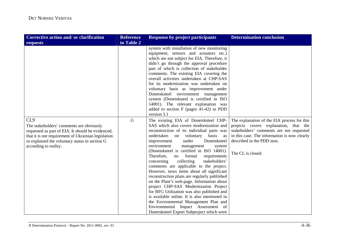| Corrective action and/ or clarification                                                                                                                                                                                                            | <b>Reference</b> | <b>Response by project participants</b>                                                                                                                                                                                                                                                                                                                                                                                                                                                                                                                                                                                                                                                                                                                                                                                                                     | <b>Determination conclusion</b>                                                                                                                                                                                                    |
|----------------------------------------------------------------------------------------------------------------------------------------------------------------------------------------------------------------------------------------------------|------------------|-------------------------------------------------------------------------------------------------------------------------------------------------------------------------------------------------------------------------------------------------------------------------------------------------------------------------------------------------------------------------------------------------------------------------------------------------------------------------------------------------------------------------------------------------------------------------------------------------------------------------------------------------------------------------------------------------------------------------------------------------------------------------------------------------------------------------------------------------------------|------------------------------------------------------------------------------------------------------------------------------------------------------------------------------------------------------------------------------------|
| requests                                                                                                                                                                                                                                           | to Table 2       |                                                                                                                                                                                                                                                                                                                                                                                                                                                                                                                                                                                                                                                                                                                                                                                                                                                             |                                                                                                                                                                                                                                    |
|                                                                                                                                                                                                                                                    |                  | system with installation of new monitoring<br>equipment, sensors and actuators etc.)<br>which are not subject for EIA. Therefore, it<br>didn't go through the approval procedure<br>part of which is collection of stakeholder<br>comments. The existing EIA covering the<br>overall activities undertaken at CHP-SAS<br>for its modernization was undertaken on<br>voluntary basis as improvement under<br>Donetsksteel environment management<br>system (Donetsksteel is certified in ISO<br>14001). The relevant explanation was<br>added to section $F$ (pages 41-42) in PDD<br>version 3.1                                                                                                                                                                                                                                                             |                                                                                                                                                                                                                                    |
| CL <sub>9</sub><br>The stakeholders' comments are obviously<br>requested as part of EIA. It should be evidenced,<br>that it is not requirement of Ukrainian legislation<br>or explained the voluntary status in section G<br>according to reality. | $\mathbf G$      | The existing EIA of Donetsksteel CHP-<br>SAS which also covers modernization and<br>reconstruction of its individual parts was<br>undertaken on<br>basis<br>voluntary<br>as<br>under<br>Donetsksteel<br>improvement<br>environment<br>management<br>system<br>(Donetsksteel is certified in ISO 14001).<br>Therefore,<br>formal<br>requirements<br>no<br>stakeholders'<br>collecting<br>concerning<br>comments are applicable to the project.<br>However, news items about all significant<br>reconstruction plans are regularly published<br>on the Plant's web-page. Information about<br>project CHP-SAS Modernization Project<br>for BFG Utilization was also published and<br>is available online. It is also mentioned in<br>the Environmental Management Plan and<br>Environmental Impact Assessment of<br>Donetsksteel Export Subproject which were | The explanation of the EIA process for this<br>projects covers explanation, that the<br>stakeholders' comments are not requested<br>in this case. The information is now clearly<br>described in the PDD now.<br>The CL is closed. |